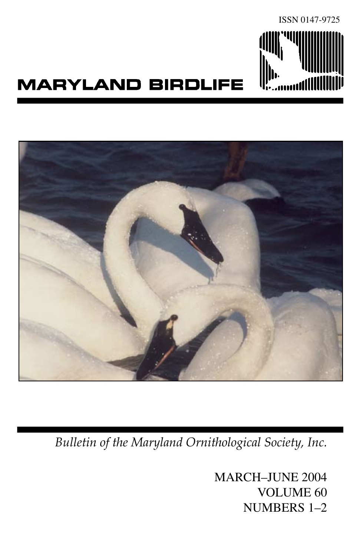

## **MARYLAND BIRDLIFE**



*Bulletin of the Maryland Ornithological Society, Inc.*

MARCH–JUNE 2004 VOLUME 60 NUMBERS 1–2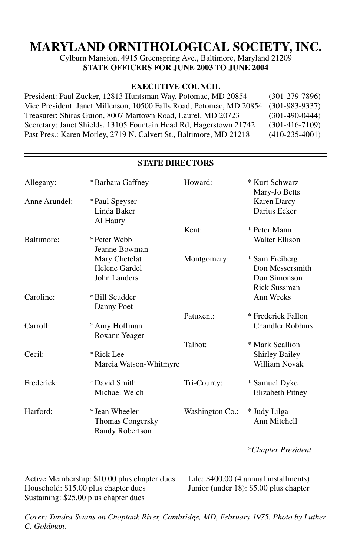## **MARYLAND ORNITHOLOGICAL SOCIETY, INC.**

Cylburn Mansion, 4915 Greenspring Ave., Baltimore, Maryland 21209 **STATE OFFICERS FOR JUNE 2003 TO JUNE 2004** 

#### **EXECUTIVE COUNCIL**

| President: Paul Zucker, 12813 Huntsman Way, Potomac, MD 20854        | $(301-279-7896)$ |
|----------------------------------------------------------------------|------------------|
| Vice President: Janet Millenson, 10500 Falls Road, Potomac, MD 20854 | $(301-983-9337)$ |
| Treasurer: Shiras Guion, 8007 Martown Road, Laurel, MD 20723         | $(301-490-0444)$ |
| Secretary: Janet Shields, 13105 Fountain Head Rd, Hagerstown 21742   | $(301-416-7109)$ |
| Past Pres.: Karen Morley, 2719 N. Calvert St., Baltimore, MD 21218   | $(410-235-4001)$ |

| Allegany:     | *Barbara Gaffney                           | Howard:         | * Kurt Schwarz<br>Mary-Jo Betts    |
|---------------|--------------------------------------------|-----------------|------------------------------------|
| Anne Arundel: | *Paul Speyser<br>Linda Baker               |                 | <b>Karen Darcy</b><br>Darius Ecker |
|               | Al Haury                                   |                 |                                    |
|               |                                            | Kent:           | * Peter Mann                       |
| Baltimore:    | *Peter Webb<br>Jeanne Bowman               |                 | Walter Ellison                     |
|               |                                            |                 |                                    |
|               | Mary Chetelat                              | Montgomery:     | * Sam Freiberg                     |
|               | Helene Gardel                              |                 | Don Messersmith                    |
|               | John Landers                               |                 | Don Simonson                       |
|               |                                            |                 | <b>Rick Sussman</b>                |
| Caroline:     | *Bill Scudder                              |                 | Ann Weeks                          |
|               | Danny Poet                                 |                 |                                    |
|               |                                            | Patuxent:       | * Frederick Fallon                 |
| Carroll:      | *Amy Hoffman                               |                 | <b>Chandler Robbins</b>            |
|               | Roxann Yeager                              |                 |                                    |
|               |                                            | Talbot:         | * Mark Scallion                    |
| Cecil:        | *Rick Lee                                  |                 | <b>Shirley Bailey</b>              |
|               | Marcia Watson-Whitmyre                     |                 | William Novak                      |
| Frederick:    | *David Smith                               | Tri-County:     | * Samuel Dyke                      |
|               | Michael Welch                              |                 | <b>Elizabeth Pitney</b>            |
| Harford:      | *Jean Wheeler                              | Washington Co.: | * Judy Lilga                       |
|               | <b>Thomas Congersky</b><br>Randy Robertson |                 | Ann Mitchell                       |
|               |                                            |                 | *Chapter President                 |

#### **STATE DIRECTORS**

Active Membership: \$10.00 plus chapter dues Life: \$400.00 (4 annual installments)<br>Household: \$15.00 plus chapter dues Junior (under 18): \$5.00 plus chapter Household:  $$15.00$  plus chapter dues Sustaining: \$25.00 plus chapter dues

 $\overline{a}$ 

*Cover: Tundra Swans on Choptank River, Cambridge, MD, February 1975. Photo by Luther C. Goldman.*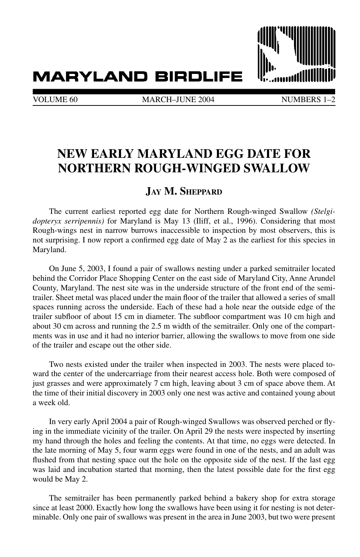## **MARYLAND BIRDLIFE**



VOLUME 60 MARCH–JUNE 2004 NUMBERS 1

## **NEW EARLY MARYLAND EGG DATE FOR NORTHERN ROUGH-WINGED SWALLOW**

#### **Jay M. Sheppard**

The current earliest reported egg date for Northern Rough-winged Swallow *(Stelgidopteryx serripennis)* for Maryland is May 13 (Iliff, et al., 1996). Considering that most Rough-wings nest in narrow burrows inaccessible to inspection by most observers, this is not surprising. I now report a confirmed egg date of May 2 as the earliest for this species in Maryland.

On June 5, 2003, I found a pair of swallows nesting under a parked semitrailer located behind the Corridor Place Shopping Center on the east side of Maryland City, Anne Arundel County, Maryland. The nest site was in the underside structure of the front end of the semitrailer. Sheet metal was placed under the main floor of the trailer that allowed a series of small spaces running across the underside. Each of these had a hole near the outside edge of the trailer subfloor of about 15 cm in diameter. The subfloor compartment was 10 cm high and about 30 cm across and running the 2.5 m width of the semitrailer. Only one of the compartments was in use and it had no interior barrier, allowing the swallows to move from one side of the trailer and escape out the other side.

Two nests existed under the trailer when inspected in 2003. The nests were placed toward the center of the undercarriage from their nearest access hole. Both were composed of just grasses and were approximately 7 cm high, leaving about 3 cm of space above them. At the time of their initial discovery in 2003 only one nest was active and contained young about a week old.

In very early April 2004 a pair of Rough-winged Swallows was observed perched or flying in the immediate vicinity of the trailer. On April 29 the nests were inspected by inserting my hand through the holes and feeling the contents. At that time, no eggs were detected. In the late morning of May 5, four warm eggs were found in one of the nests, and an adult was flushed from that nesting space out the hole on the opposite side of the nest. If the last egg was laid and incubation started that morning, then the latest possible date for the first egg would be May 2.

The semitrailer has been permanently parked behind a bakery shop for extra storage since at least 2000. Exactly how long the swallows have been using it for nesting is not determinable. Only one pair of swallows was present in the area in June 2003, but two were present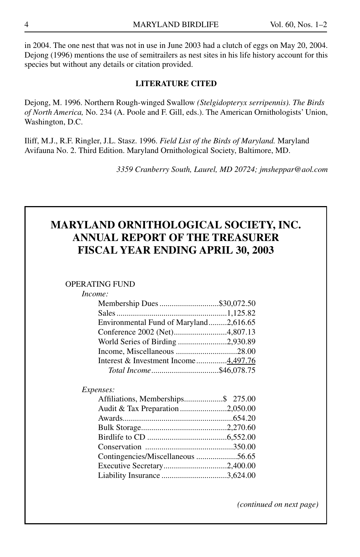in 2004. The one nest that was not in use in June 2003 had a clutch of eggs on May 20, 2004. Dejong (1996) mentions the use of semitrailers as nest sites in his life history account for this species but without any details or citation provided.

#### **LITERATURE CITED**

Dejong, M. 1996. Northern Rough-winged Swallow *(Stelgidopteryx serripennis). The Birds of North America,* No. 234 (A. Poole and F. Gill, eds.). The American Ornithologists' Union, Washington, D.C.

Iliff, M.J., R.F. Ringler, J.L. Stasz. 1996. *Field List of the Birds of Maryland.* Maryland Avifauna No. 2. Third Edition. Maryland Ornithological Society, Baltimore, MD.

*3359 Cranberry South, Laurel, MD 20724; jmsheppar@aol.com*

## **MARYLAND ORNITHOLOGICAL SOCIETY, INC. ANNUAL REPORT OF THE TREASURER FISCAL YEAR ENDING APRIL 30, 2003**

#### Operating Fund

#### *Income:*

| Membership Dues \$30,072.50            |  |
|----------------------------------------|--|
|                                        |  |
| Environmental Fund of Maryland2,616.65 |  |
|                                        |  |
|                                        |  |
|                                        |  |
| Interest & Investment Income4,497.76   |  |
|                                        |  |

#### *Expenses:*

| Affiliations, Memberships\$ 275.00 |  |
|------------------------------------|--|
| Audit & Tax Preparation 2,050.00   |  |
|                                    |  |
|                                    |  |
|                                    |  |
|                                    |  |
|                                    |  |
|                                    |  |
|                                    |  |

*(continued on next page)*

I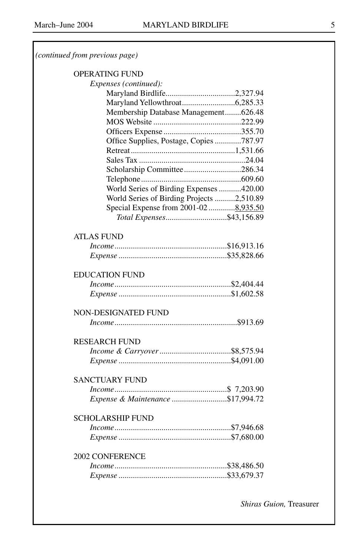#### *(continued from previous page)*

#### Operating Fund

| Expenses (continued):                     |  |
|-------------------------------------------|--|
| Maryland Birdlife2,327.94                 |  |
|                                           |  |
| Membership Database Management626.48      |  |
|                                           |  |
|                                           |  |
| Office Supplies, Postage, Copies 787.97   |  |
|                                           |  |
|                                           |  |
| Scholarship Committee286.34               |  |
|                                           |  |
| World Series of Birding Expenses 420.00   |  |
| World Series of Birding Projects 2,510.89 |  |
| Special Expense from 2001-02  8,935.50    |  |
| Total Expenses\$43,156.89                 |  |
|                                           |  |
| <b>ATLAS FUND</b>                         |  |
|                                           |  |
|                                           |  |
| <b>EDUCATION FUND</b>                     |  |
|                                           |  |
|                                           |  |
|                                           |  |
| <b>NON-DESIGNATED FUND</b>                |  |
|                                           |  |
|                                           |  |
| <b>RESEARCH FUND</b>                      |  |
|                                           |  |
|                                           |  |
|                                           |  |
| <b>SANCTUARY FUND</b>                     |  |
|                                           |  |
| Expense & Maintenance \$17,994.72         |  |
| <b>SCHOLARSHIP FUND</b>                   |  |
|                                           |  |
|                                           |  |
|                                           |  |
| <b>2002 CONFERENCE</b>                    |  |
|                                           |  |
|                                           |  |

5

*Shiras Guion,* Treasurer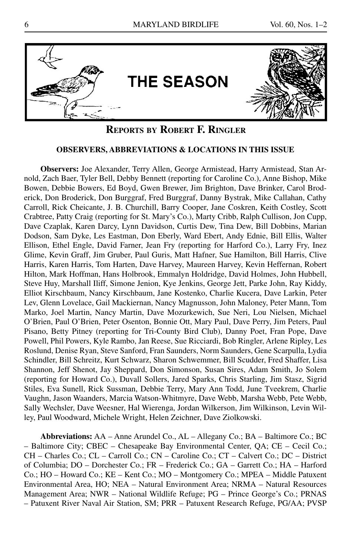

#### **Reports by Robert F. Ringler**

#### **OBSERVERS, ABBREVIATIONS & LOCATIONS IN THIS ISSUE**

**Observers:** Joe Alexander, Terry Allen, George Armistead, Harry Armistead, Stan Arnold, Zach Baer, Tyler Bell, Debby Bennett (reporting for Caroline Co.), Anne Bishop, Mike Bowen, Debbie Bowers, Ed Boyd, Gwen Brewer, Jim Brighton, Dave Brinker, Carol Broderick, Don Broderick, Don Burggraf, Fred Burggraf, Danny Bystrak, Mike Callahan, Cathy Carroll, Rick Cheicante, J. B. Churchill, Barry Cooper, Jane Coskren, Keith Costley, Scott Crabtree, Patty Craig (reporting for St. Mary's Co.), Marty Cribb, Ralph Cullison, Jon Cupp, Dave Czaplak, Karen Darcy, Lynn Davidson, Curtis Dew, Tina Dew, Bill Dobbins, Marian Dodson, Sam Dyke, Les Eastman, Don Eberly, Ward Ebert, Andy Ednie, Bill Ellis, Walter Ellison, Ethel Engle, David Farner, Jean Fry (reporting for Harford Co.), Larry Fry, Inez Glime, Kevin Graff, Jim Gruber, Paul Guris, Matt Hafner, Sue Hamilton, Bill Harris, Clive Harris, Karen Harris, Tom Harten, Dave Harvey, Maureen Harvey, Kevin Heffernan, Robert Hilton, Mark Hoffman, Hans Holbrook, Emmalyn Holdridge, David Holmes, John Hubbell, Steve Huy, Marshall Iliff, Simone Jenion, Kye Jenkins, George Jett, Parke John, Ray Kiddy, Elliot Kirschbaum, Nancy Kirschbaum, Jane Kostenko, Charlie Kucera, Dave Larkin, Peter Lev, Glenn Lovelace, Gail Mackiernan, Nancy Magnusson, John Maloney, Peter Mann, Tom Marko, Joel Martin, Nancy Martin, Dave Mozurkewich, Sue Neri, Lou Nielsen, Michael O'Brien, Paul O'Brien, Peter Osenton, Bonnie Ott, Mary Paul, Dave Perry, Jim Peters, Paul Pisano, Betty Pitney (reporting for Tri-County Bird Club), Danny Poet, Fran Pope, Dave Powell, Phil Powers, Kyle Rambo, Jan Reese, Sue Ricciardi, Bob Ringler, Arlene Ripley, Les Roslund, Denise Ryan, Steve Sanford, Fran Saunders, Norm Saunders, Gene Scarpulla, Lydia Schindler, Bill Schreitz, Kurt Schwarz, Sharon Schwemmer, Bill Scudder, Fred Shaffer, Lisa Shannon, Jeff Shenot, Jay Sheppard, Don Simonson, Susan Sires, Adam Smith, Jo Solem (reporting for Howard Co.), Duvall Sollers, Jared Sparks, Chris Starling, Jim Stasz, Sigrid Stiles, Eva Sunell, Rick Sussman, Debbie Terry, Mary Ann Todd, June Tveekrem, Charlie Vaughn, Jason Waanders, Marcia Watson-Whitmyre, Dave Webb, Marsha Webb, Pete Webb, Sally Wechsler, Dave Weesner, Hal Wierenga, Jordan Wilkerson, Jim Wilkinson, Levin Willey, Paul Woodward, Michele Wright, Helen Zeichner, Dave Ziolkowski.

**Abbreviations:** AA – Anne Arundel Co., AL – Allegany Co.; BA – Baltimore Co.; BC – Baltimore City; CBEC – Chesapeake Bay Environmental Center, QA; CE – Cecil Co.; CH – Charles Co.; CL – Carroll Co.; CN – Caroline Co.; CT – Calvert Co.; DC – District of Columbia; DO – Dorchester Co.; FR – Frederick Co.; GA – Garrett Co.; HA – Harford Co.; HO – Howard Co.; KE – Kent Co.; MO – Montgomery Co.; MPEA – Middle Patuxent Environmental Area, HO; NEA – Natural Environment Area; NRMA – Natural Resources Management Area; NWR – National Wildlife Refuge; PG – Prince George's Co.; PRNAS – Patuxent River Naval Air Station, SM; PRR – Patuxent Research Refuge, PG/AA; PVSP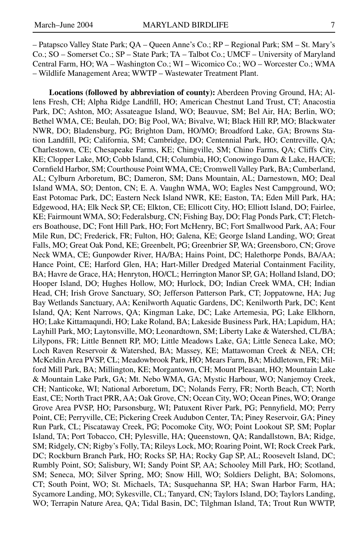– Patapsco Valley State Park; QA – Queen Anne's Co.; RP – Regional Park; SM – St. Mary's Co.; SO – Somerset Co.; SP – State Park; TA – Talbot Co.; UMCF – University of Maryland Central Farm, HO; WA – Washington Co.; WI – Wicomico Co.; WO – Worcester Co.; WMA – Wildlife Management Area; WWTP – Wastewater Treatment Plant.

**Locations (followed by abbreviation of county):** Aberdeen Proving Ground, HA; Allens Fresh, CH; Alpha Ridge Landfill, HO; American Chestnut Land Trust, CT; Anacostia Park, DC; Ashton, MO; Assateague Island, WO; Beauvue, SM; Bel Air, HA; Berlin, WO; Bethel WMA, CE; Beulah, DO; Big Pool, WA; Bivalve, WI; Black Hill RP, MO; Blackwater NWR, DO; Bladensburg, PG; Brighton Dam, HO/MO; Broadford Lake, GA; Browns Station Landfill, PG; California, SM; Cambridge, DO; Centennial Park, HO; Centreville, QA; Charlestown, CE; Chesapeake Farms, KE; Chingville, SM; Chino Farms, QA; Cliffs City, KE; Clopper Lake, MO; Cobb Island, CH; Columbia, HO; Conowingo Dam & Lake, HA/CE; Cornfield Harbor, SM; Courthouse Point WMA, CE; Cromwell Valley Park, BA; Cumberland, AL; Cylburn Arboretum, BC; Dameron, SM; Dans Mountain, AL; Darnestown, MO; Deal Island WMA, SO; Denton, CN; E. A. Vaughn WMA, WO; Eagles Nest Campground, WO; East Potomac Park, DC; Eastern Neck Island NWR, KE; Easton, TA; Eden Mill Park, HA; Edgewood, HA; Elk Neck SP, CE; Elkton, CE; Ellicott City, HO; Elliott Island, DO; Fairlee, KE; Fairmount WMA, SO; Federalsburg, CN; Fishing Bay, DO; Flag Ponds Park, CT; Fletchers Boathouse, DC; Font Hill Park, HO; Fort McHenry, BC; Fort Smallwood Park, AA; Four Mile Run, DC; Frederick, FR; Fulton, HO; Galena, KE; George Island Landing, WO; Great Falls, MO; Great Oak Pond, KE; Greenbelt, PG; Greenbrier SP, WA; Greensboro, CN; Grove Neck WMA, CE; Gunpowder River, HA/BA; Hains Point, DC; Halethorpe Ponds, BA/AA; Hance Point, CE; Harford Glen, HA; Hart-Miller Dredged Material Containment Facility, BA; Havre de Grace, HA; Henryton, HO/CL; Herrington Manor SP, GA; Holland Island, DO; Hooper Island, DO; Hughes Hollow, MO; Hurlock, DO; Indian Creek WMA, CH; Indian Head, CH; Irish Grove Sanctuary, SO; Jefferson Patterson Park, CT; Joppatowne, HA; Jug Bay Wetlands Sanctuary, AA; Kenilworth Aquatic Gardens, DC; Kenilworth Park, DC; Kent Island, QA; Kent Narrows, QA; Kingman Lake, DC; Lake Artemesia, PG; Lake Elkhorn, HO; Lake Kittamaqundi, HO; Lake Roland, BA; Lakeside Business Park, HA; Lapidum, HA; Layhill Park, MO; Laytonsville, MO; Leonardtown, SM; Liberty Lake & Watershed, CL/BA; Lilypons, FR; Little Bennett RP, MO; Little Meadows Lake, GA; Little Seneca Lake, MO; Loch Raven Reservoir & Watershed, BA; Massey, KE; Mattawoman Creek & NEA, CH; McKeldin Area PVSP, CL; Meadowbrook Park, HO; Mears Farm, BA; Middletown, FR; Milford Mill Park, BA; Millington, KE; Morgantown, CH; Mount Pleasant, HO; Mountain Lake & Mountain Lake Park, GA; Mt. Nebo WMA, GA; Mystic Harbour, WO; Nanjemoy Creek, CH; Nanticoke, WI; National Arboretum, DC; Nolands Ferry, FR; North Beach, CT; North East, CE; North Tract PRR, AA; Oak Grove, CN; Ocean City, WO; Ocean Pines, WO; Orange Grove Area PVSP, HO; Parsonsburg, WI; Patuxent River Park, PG; Pennyfield, MO; Perry Point, CE; Perryville, CE; Pickering Creek Audubon Center, TA; Piney Reservoir, GA; Piney Run Park, CL; Piscataway Creek, PG; Pocomoke City, WO; Point Lookout SP, SM; Poplar Island, TA; Port Tobacco, CH; Pylesville, HA; Queenstown, QA; Randallstown, BA; Ridge, SM; Ridgely, CN; Rigby's Folly, TA; Rileys Lock, MO; Roaring Point, WI; Rock Creek Park, DC; Rockburn Branch Park, HO; Rocks SP, HA; Rocky Gap SP, AL; Roosevelt Island, DC; Rumbly Point, SO; Salisbury, WI; Sandy Point SP, AA; Schooley Mill Park, HO; Scotland, SM; Seneca, MO; Silver Spring, MO; Snow Hill, WO; Soldiers Delight, BA; Solomons, CT; South Point, WO; St. Michaels, TA; Susquehanna SP, HA; Swan Harbor Farm, HA; Sycamore Landing, MO; Sykesville, CL; Tanyard, CN; Taylors Island, DO; Taylors Landing, WO; Terrapin Nature Area, QA; Tidal Basin, DC; Tilghman Island, TA; Trout Run WWTP,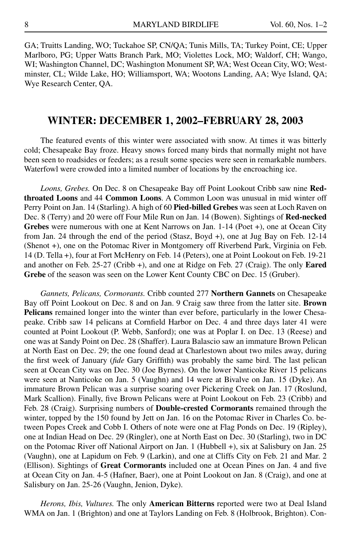GA; Truitts Landing, WO; Tuckahoe SP, CN/QA; Tunis Mills, TA; Turkey Point, CE; Upper Marlboro, PG; Upper Watts Branch Park, MO; Violettes Lock, MO; Waldorf, CH; Wango, WI; Washington Channel, DC; Washington Monument SP, WA; West Ocean City, WO; Westminster, CL; Wilde Lake, HO; Williamsport, WA; Wootons Landing, AA; Wye Island, QA; Wye Research Center, QA.

#### **WINTER: DECEMBER 1, 2002–FEBRUARY 28, 2003**

The featured events of this winter were associated with snow. At times it was bitterly cold; Chesapeake Bay froze. Heavy snows forced many birds that normally might not have been seen to roadsides or feeders; as a result some species were seen in remarkable numbers. Waterfowl were crowded into a limited number of locations by the encroaching ice.

*Loons, Grebes.* On Dec. 8 on Chesapeake Bay off Point Lookout Cribb saw nine **Redthroated Loons** and 44 **Common Loons**. A Common Loon was unusual in mid winter off Perry Point on Jan. 14 (Starling). A high of 60 **Pied-billed Grebes** was seen at Loch Raven on Dec. 8 (Terry) and 20 were off Four Mile Run on Jan. 14 (Bowen). Sightings of **Red-necked Grebes** were numerous with one at Kent Narrows on Jan. 1-14 (Poet +), one at Ocean City from Jan. 24 through the end of the period (Stasz, Boyd +), one at Jug Bay on Feb. 12-14 (Shenot +), one on the Potomac River in Montgomery off Riverbend Park, Virginia on Feb. 14 (D. Tella +), four at Fort McHenry on Feb. 14 (Peters), one at Point Lookout on Feb. 19-21 and another on Feb. 25-27 (Cribb +), and one at Ridge on Feb. 27 (Craig). The only **Eared Grebe** of the season was seen on the Lower Kent County CBC on Dec. 15 (Gruber).

*Gannets, Pelicans, Cormorants.* Cribb counted 277 **Northern Gannets** on Chesapeake Bay off Point Lookout on Dec. 8 and on Jan. 9 Craig saw three from the latter site. **Brown Pelicans** remained longer into the winter than ever before, particularly in the lower Chesapeake. Cribb saw 14 pelicans at Cornfield Harbor on Dec. 4 and three days later 41 were counted at Point Lookout (P. Webb, Sanford); one was at Poplar I. on Dec. 13 (Reese) and one was at Sandy Point on Dec. 28 (Shaffer). Laura Balascio saw an immature Brown Pelican at North East on Dec. 29; the one found dead at Charlestown about two miles away, during the first week of January (*fide* Gary Griffith) was probably the same bird. The last pelican seen at Ocean City was on Dec. 30 (Joe Byrnes). On the lower Nanticoke River 15 pelicans were seen at Nanticoke on Jan. 5 (Vaughn) and 14 were at Bivalve on Jan. 15 (Dyke). An immature Brown Pelican was a surprise soaring over Pickering Creek on Jan. 17 (Roslund, Mark Scallion). Finally, five Brown Pelicans were at Point Lookout on Feb. 23 (Cribb) and Feb. 28 (Craig). Surprising numbers of **Double-crested Cormorants** remained through the winter, topped by the 150 found by Jett on Jan. 16 on the Potomac River in Charles Co. between Popes Creek and Cobb I. Others of note were one at Flag Ponds on Dec. 19 (Ripley), one at Indian Head on Dec. 29 (Ringler), one at North East on Dec. 30 (Starling), two in DC on the Potomac River off National Airport on Jan. 1 (Hubbell +), six at Salisbury on Jan. 25 (Vaughn), one at Lapidum on Feb. 9 (Larkin), and one at Cliffs City on Feb. 21 and Mar. 2 (Ellison). Sightings of **Great Cormorants** included one at Ocean Pines on Jan. 4 and five at Ocean City on Jan. 4-5 (Hafner, Baer), one at Point Lookout on Jan. 8 (Craig), and one at Salisbury on Jan. 25-26 (Vaughn, Jenion, Dyke).

*Herons, Ibis, Vultures.* The only **American Bitterns** reported were two at Deal Island WMA on Jan. 1 (Brighton) and one at Taylors Landing on Feb. 8 (Holbrook, Brighton). Con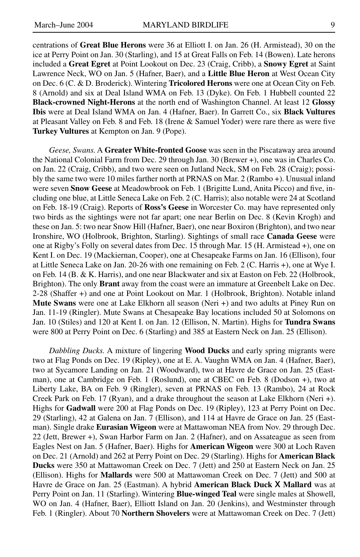centrations of **Great Blue Herons** were 36 at Elliott I. on Jan. 26 (H. Armistead), 30 on the ice at Perry Point on Jan. 30 (Starling), and 15 at Great Falls on Feb. 14 (Bowen). Late herons included a **Great Egret** at Point Lookout on Dec. 23 (Craig, Cribb), a **Snowy Egret** at Saint Lawrence Neck, WO on Jan. 5 (Hafner, Baer), and a **Little Blue Heron** at West Ocean City on Dec. 6 (C. & D. Broderick). Wintering **Tricolored Herons** were one at Ocean City on Feb. 8 (Arnold) and six at Deal Island WMA on Feb. 13 (Dyke). On Feb. 1 Hubbell counted 22 **Black-crowned Night-Herons** at the north end of Washington Channel. At least 12 **Glossy Ibis** were at Deal Island WMA on Jan. 4 (Hafner, Baer). In Garrett Co., six **Black Vultures** at Pleasant Valley on Feb. 8 and Feb. 18 (Irene & Samuel Yoder) were rare there as were five **Turkey Vultures** at Kempton on Jan. 9 (Pope).

*Geese, Swans.* A **Greater White-fronted Goose** was seen in the Piscataway area around the National Colonial Farm from Dec. 29 through Jan. 30 (Brewer +), one was in Charles Co. on Jan. 22 (Craig, Cribb), and two were seen on Jutland Neck, SM on Feb. 28 (Craig); possibly the same two were 10 miles farther north at PRNAS on Mar. 2 (Rambo +). Unusual inland were seven **Snow Geese** at Meadowbrook on Feb. 1 (Brigitte Lund, Anita Picco) and five, including one blue, at Little Seneca Lake on Feb. 2 (C. Harris); also notable were 24 at Scotland on Feb. 18-19 (Craig). Reports of **Ross's Geese** in Worcester Co. may have represented only two birds as the sightings were not far apart; one near Berlin on Dec. 8 (Kevin Krogh) and these on Jan. 5: two near Snow Hill (Hafner, Baer), one near Boxiron (Brighton), and two near Ironshire, WO (Holbrook, Brighton, Starling). Sightings of small race **Canada Geese** were one at Rigby's Folly on several dates from Dec. 15 through Mar. 15 (H. Armistead +), one on Kent I. on Dec. 19 (Mackiernan, Cooper), one at Chesapeake Farms on Jan. 16 (Ellison), four at Little Seneca Lake on Jan. 20-26 with one remaining on Feb. 2 (C. Harris +), one at Wye I. on Feb. 14 (B. & K. Harris), and one near Blackwater and six at Easton on Feb. 22 (Holbrook, Brighton). The only **Brant** away from the coast were an immature at Greenbelt Lake on Dec. 2-28 (Shaffer +) and one at Point Lookout on Mar. 1 (Holbrook, Brighton). Notable inland **Mute Swans** were one at Lake Elkhorn all season (Neri +) and two adults at Piney Run on Jan. 11-19 (Ringler). Mute Swans at Chesapeake Bay locations included 50 at Solomons on Jan. 10 (Stiles) and 120 at Kent I. on Jan. 12 (Ellison, N. Martin). Highs for **Tundra Swans** were 800 at Perry Point on Dec. 6 (Starling) and 385 at Eastern Neck on Jan. 25 (Ellison).

*Dabbling Ducks.* A mixture of lingering **Wood Ducks** and early spring migrants were two at Flag Ponds on Dec. 19 (Ripley), one at E. A. Vaughn WMA on Jan. 4 (Hafner, Baer), two at Sycamore Landing on Jan. 21 (Woodward), two at Havre de Grace on Jan. 25 (Eastman), one at Cambridge on Feb. 1 (Roslund), one at CBEC on Feb. 8 (Dodson +), two at Liberty Lake, BA on Feb. 9 (Ringler), seven at PRNAS on Feb. 13 (Rambo), 24 at Rock Creek Park on Feb. 17 (Ryan), and a drake throughout the season at Lake Elkhorn (Neri +). Highs for **Gadwall** were 200 at Flag Ponds on Dec. 19 (Ripley), 123 at Perry Point on Dec. 29 (Starling), 42 at Galena on Jan. 7 (Ellison), and 114 at Havre de Grace on Jan. 25 (Eastman). Single drake **Eurasian Wigeon** were at Mattawoman NEA from Nov. 29 through Dec. 22 (Jett, Brewer +), Swan Harbor Farm on Jan. 2 (Hafner), and on Assateague as seen from Eagles Nest on Jan. 5 (Hafner, Baer). Highs for **American Wigeon** were 300 at Loch Raven on Dec. 21 (Arnold) and 262 at Perry Point on Dec. 29 (Starling). Highs for **American Black Ducks** were 350 at Mattawoman Creek on Dec. 7 (Jett) and 250 at Eastern Neck on Jan. 25 (Ellison). Highs for **Mallards** were 500 at Mattawoman Creek on Dec. 7 (Jett) and 500 at Havre de Grace on Jan. 25 (Eastman). A hybrid **American Black Duck X Mallard** was at Perry Point on Jan. 11 (Starling). Wintering **Blue-winged Teal** were single males at Showell, WO on Jan. 4 (Hafner, Baer), Elliott Island on Jan. 20 (Jenkins), and Westminster through Feb. 1 (Ringler). About 70 **Northern Shovelers** were at Mattawoman Creek on Dec. 7 (Jett)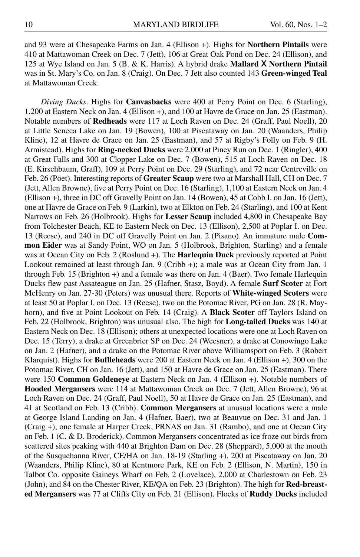and 93 were at Chesapeake Farms on Jan. 4 (Ellison +). Highs for **Northern Pintails** were 410 at Mattawoman Creek on Dec. 7 (Jett), 106 at Great Oak Pond on Dec. 24 (Ellison), and 125 at Wye Island on Jan. 5 (B. & K. Harris). A hybrid drake **Mallard X Northern Pintail** was in St. Mary's Co. on Jan. 8 (Craig). On Dec. 7 Jett also counted 143 **Green-winged Teal** at Mattawoman Creek.

*Diving Ducks*. Highs for **Canvasbacks** were 400 at Perry Point on Dec. 6 (Starling), 1,200 at Eastern Neck on Jan. 4 (Ellison +), and 100 at Havre de Grace on Jan. 25 (Eastman). Notable numbers of **Redheads** were 117 at Loch Raven on Dec. 24 (Graff, Paul Noell), 20 at Little Seneca Lake on Jan. 19 (Bowen), 100 at Piscataway on Jan. 20 (Waanders, Philip Kline), 12 at Havre de Grace on Jan. 25 (Eastman), and 57 at Rigby's Folly on Feb. 9 (H. Armistead). Highs for **Ring-necked Ducks** were 2,000 at Piney Run on Dec. 1 (Ringler), 400 at Great Falls and 300 at Clopper Lake on Dec. 7 (Bowen), 515 at Loch Raven on Dec. 18 (E. Kirschbaum, Graff), 109 at Perry Point on Dec. 29 (Starling), and 72 near Centreville on Feb. 26 (Poet). Interesting reports of **Greater Scaup** were two at Marshall Hall, CH on Dec. 7 (Jett, Allen Browne), five at Perry Point on Dec. 16 (Starling), 1,100 at Eastern Neck on Jan. 4 (Ellison +), three in DC off Gravelly Point on Jan. 14 (Bowen), 45 at Cobb I. on Jan. 16 (Jett), one at Havre de Grace on Feb. 9 (Larkin), two at Elkton on Feb. 24 (Starling), and 100 at Kent Narrows on Feb. 26 (Holbrook). Highs for **Lesser Scaup** included 4,800 in Chesapeake Bay from Tolchester Beach, KE to Eastern Neck on Dec. 13 (Ellison), 2,500 at Poplar I. on Dec. 13 (Reese), and 240 in DC off Gravelly Point on Jan. 2 (Pisano). An immature male **Common Eider** was at Sandy Point, WO on Jan. 5 (Holbrook, Brighton, Starling) and a female was at Ocean City on Feb. 2 (Roslund +). The **Harlequin Duck** previously reported at Point Lookout remained at least through Jan. 9 (Cribb +); a male was at Ocean City from Jan. 1 through Feb. 15 (Brighton +) and a female was there on Jan. 4 (Baer). Two female Harlequin Ducks flew past Assateague on Jan. 25 (Hafner, Stasz, Boyd). A female **Surf Scoter** at Fort McHenry on Jan. 27-30 (Peters) was unusual there. Reports of **White-winged Scoters** were at least 50 at Poplar I. on Dec. 13 (Reese), two on the Potomac River, PG on Jan. 28 (R. Mayhorn), and five at Point Lookout on Feb. 14 (Craig). A **Black Scoter** off Taylors Island on Feb. 22 (Holbrook, Brighton) was unusual also. The high for **Long-tailed Ducks** was 140 at Eastern Neck on Dec. 18 (Ellison); others at unexpected locations were one at Loch Raven on Dec. 15 (Terry), a drake at Greenbrier SP on Dec. 24 (Weesner), a drake at Conowingo Lake on Jan. 2 (Hafner), and a drake on the Potomac River above Williamsport on Feb. 3 (Robert Klarquist). Highs for **Buffleheads** were 200 at Eastern Neck on Jan. 4 (Ellison +), 300 on the Potomac River, CH on Jan. 16 (Jett), and 150 at Havre de Grace on Jan. 25 (Eastman). There were 150 **Common Goldeneye** at Eastern Neck on Jan. 4 (Ellison +). Notable numbers of **Hooded Mergansers** were 114 at Mattawoman Creek on Dec. 7 (Jett, Allen Browne), 96 at Loch Raven on Dec. 24 (Graff, Paul Noell), 50 at Havre de Grace on Jan. 25 (Eastman), and 41 at Scotland on Feb. 13 (Cribb). **Common Mergansers** at unusual locations were a male at George Island Landing on Jan. 4 (Hafner, Baer), two at Beauvue on Dec. 31 and Jan. 1 (Craig +), one female at Harper Creek, PRNAS on Jan. 31 (Rambo), and one at Ocean City on Feb. 1 (C. & D. Broderick). Common Mergansers concentrated as ice froze out birds from scattered sites peaking with 440 at Brighton Dam on Dec. 28 (Sheppard), 5,000 at the mouth of the Susquehanna River, CE/HA on Jan. 18-19 (Starling +), 200 at Piscataway on Jan. 20 (Waanders, Philip Kline), 80 at Kentmore Park, KE on Feb. 2 (Ellison, N. Martin), 150 in Talbot Co. opposite Gaineys Wharf on Feb. 2 (Lovelace), 2,000 at Charlestown on Feb. 23 (John), and 84 on the Chester River, KE/QA on Feb. 23 (Brighton). The high for **Red-breasted Mergansers** was 77 at Cliffs City on Feb. 21 (Ellison). Flocks of **Ruddy Ducks** included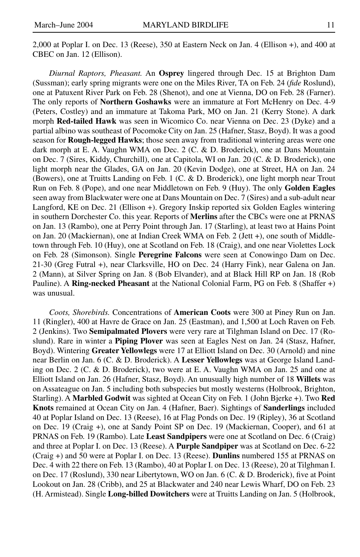2,000 at Poplar I. on Dec. 13 (Reese), 350 at Eastern Neck on Jan. 4 (Ellison +), and 400 at CBEC on Jan. 12 (Ellison).

*Diurnal Raptors, Pheasant.* An **Osprey** lingered through Dec. 15 at Brighton Dam (Sussman); early spring migrants were one on the Miles River, TA on Feb. 24 (*fide* Roslund), one at Patuxent River Park on Feb. 28 (Shenot), and one at Vienna, DO on Feb. 28 (Farner). The only reports of **Northern Goshawks** were an immature at Fort McHenry on Dec. 4-9 (Peters, Costley) and an immature at Takoma Park, MO on Jan. 21 (Kerry Stone). A dark morph **Red-tailed Hawk** was seen in Wicomico Co. near Vienna on Dec. 23 (Dyke) and a partial albino was southeast of Pocomoke City on Jan. 25 (Hafner, Stasz, Boyd). It was a good season for **Rough-legged Hawks**; those seen away from traditional wintering areas were one dark morph at E. A. Vaughn WMA on Dec. 2 (C. & D. Broderick), one at Dans Mountain on Dec. 7 (Sires, Kiddy, Churchill), one at Capitola, WI on Jan. 20 (C. & D. Broderick), one light morph near the Glades, GA on Jan. 20 (Kevin Dodge), one at Street, HA on Jan. 24 (Bowers), one at Truitts Landing on Feb. 1 (C. & D. Broderick), one light morph near Trout Run on Feb. 8 (Pope), and one near Middletown on Feb. 9 (Huy). The only **Golden Eagles** seen away from Blackwater were one at Dans Mountain on Dec. 7 (Sires) and a sub-adult near Langford, KE on Dec. 21 (Ellison +). Gregory Inskip reported six Golden Eagles wintering in southern Dorchester Co. this year. Reports of **Merlins** after the CBCs were one at PRNAS on Jan. 13 (Rambo), one at Perry Point through Jan. 17 (Starling), at least two at Hains Point on Jan. 20 (Mackiernan), one at Indian Creek WMA on Feb. 2 (Jett +), one south of Middletown through Feb. 10 (Huy), one at Scotland on Feb. 18 (Craig), and one near Violettes Lock on Feb. 28 (Simonson). Single **Peregrine Falcons** were seen at Conowingo Dam on Dec. 21-30 (Greg Futral +), near Clarksville, HO on Dec. 24 (Harry Fink), near Galena on Jan. 2 (Mann), at Silver Spring on Jan. 8 (Bob Elvander), and at Black Hill RP on Jan. 18 (Rob Pauline). A **Ring-necked Pheasant** at the National Colonial Farm, PG on Feb. 8 (Shaffer +) was unusual.

*Coots, Shorebirds.* Concentrations of **American Coots** were 300 at Piney Run on Jan. 11 (Ringler), 400 at Havre de Grace on Jan. 25 (Eastman), and 1,500 at Loch Raven on Feb. 2 (Jenkins). Two **Semipalmated Plovers** were very rare at Tilghman Island on Dec. 17 (Roslund). Rare in winter a **Piping Plover** was seen at Eagles Nest on Jan. 24 (Stasz, Hafner, Boyd). Wintering **Greater Yellowlegs** were 17 at Elliott Island on Dec. 30 (Arnold) and nine near Berlin on Jan. 6 (C. & D. Broderick). A **Lesser Yellowlegs** was at George Island Landing on Dec. 2 (C. & D. Broderick), two were at E. A. Vaughn WMA on Jan. 25 and one at Elliott Island on Jan. 26 (Hafner, Stasz, Boyd). An unusually high number of 18 **Willets** was on Assateague on Jan. 5 including both subspecies but mostly westerns (Holbrook, Brighton, Starling). A **Marbled Godwit** was sighted at Ocean City on Feb. 1 (John Bjerke +). Two **Red Knots** remained at Ocean City on Jan. 4 (Hafner, Baer). Sightings of **Sanderlings** included 40 at Poplar Island on Dec. 13 (Reese), 16 at Flag Ponds on Dec. 19 (Ripley), 36 at Scotland on Dec. 19 (Craig +), one at Sandy Point SP on Dec. 19 (Mackiernan, Cooper), and 61 at PRNAS on Feb. 19 (Rambo). Late **Least Sandpipers** were one at Scotland on Dec. 6 (Craig) and three at Poplar I. on Dec. 13 (Reese). A **Purple Sandpiper** was at Scotland on Dec. 6-22 (Craig +) and 50 were at Poplar I. on Dec. 13 (Reese). **Dunlins** numbered 155 at PRNAS on Dec. 4 with 22 there on Feb. 13 (Rambo), 40 at Poplar I. on Dec. 13 (Reese), 20 at Tilghman I. on Dec. 17 (Roslund), 330 near Libertytown, WO on Jan. 6 (C. & D. Broderick), five at Point Lookout on Jan. 28 (Cribb), and 25 at Blackwater and 240 near Lewis Wharf, DO on Feb. 23 (H. Armistead). Single **Long-billed Dowitchers** were at Truitts Landing on Jan. 5 (Holbrook,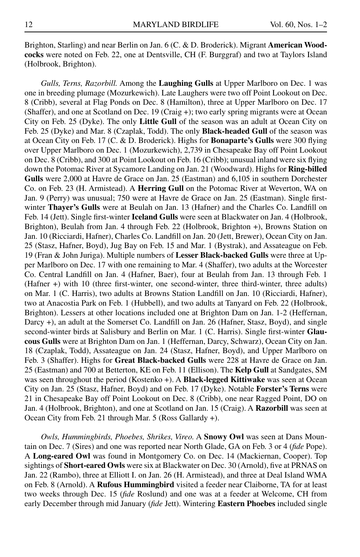Brighton, Starling) and near Berlin on Jan. 6 (C. & D. Broderick). Migrant **American Woodcocks** were noted on Feb. 22, one at Dentsville, CH (F. Burggraf) and two at Taylors Island (Holbrook, Brighton).

*Gulls, Terns, Razorbill.* Among the **Laughing Gulls** at Upper Marlboro on Dec. 1 was one in breeding plumage (Mozurkewich). Late Laughers were two off Point Lookout on Dec. 8 (Cribb), several at Flag Ponds on Dec. 8 (Hamilton), three at Upper Marlboro on Dec. 17 (Shaffer), and one at Scotland on Dec. 19 (Craig +); two early spring migrants were at Ocean City on Feb. 25 (Dyke). The only **Little Gull** of the season was an adult at Ocean City on Feb. 25 (Dyke) and Mar. 8 (Czaplak, Todd). The only **Black-headed Gull** of the season was at Ocean City on Feb. 17 (C. & D. Broderick). Highs for **Bonaparte's Gulls** were 300 flying over Upper Marlboro on Dec. 1 (Mozurkewich), 2,739 in Chesapeake Bay off Point Lookout on Dec. 8 (Cribb), and 300 at Point Lookout on Feb. 16 (Cribb); unusual inland were six flying down the Potomac River at Sycamore Landing on Jan. 21 (Woodward). Highs for **Ring-billed Gulls** were 2,000 at Havre de Grace on Jan. 25 (Eastman) and 6,105 in southern Dorchester Co. on Feb. 23 (H. Armistead). A **Herring Gull** on the Potomac River at Weverton, WA on Jan. 9 (Perry) was unusual; 750 were at Havre de Grace on Jan. 25 (Eastman). Single firstwinter **Thayer's Gulls** were at Beulah on Jan. 13 (Hafner) and the Charles Co. Landfill on Feb. 14 (Jett). Single first-winter **Iceland Gulls** were seen at Blackwater on Jan. 4 (Holbrook, Brighton), Beulah from Jan. 4 through Feb. 22 (Holbrook, Brighton +), Browns Station on Jan. 10 (Ricciardi, Hafner), Charles Co. Landfill on Jan. 20 (Jett, Brewer), Ocean City on Jan. 25 (Stasz, Hafner, Boyd), Jug Bay on Feb. 15 and Mar. 1 (Bystrak), and Assateague on Feb. 19 (Fran & John Juriga). Multiple numbers of **Lesser Black-backed Gulls** were three at Upper Marlboro on Dec. 17 with one remaining to Mar. 4 (Shaffer), two adults at the Worcester Co. Central Landfill on Jan. 4 (Hafner, Baer), four at Beulah from Jan. 13 through Feb. 1 (Hafner +) with 10 (three first-winter, one second-winter, three third-winter, three adults) on Mar. 1 (C. Harris), two adults at Browns Station Landfill on Jan. 10 (Ricciardi, Hafner), two at Anacostia Park on Feb. 1 (Hubbell), and two adults at Tanyard on Feb. 22 (Holbrook, Brighton). Lessers at other locations included one at Brighton Dam on Jan. 1-2 (Heffernan, Darcy +), an adult at the Somerset Co. Landfill on Jan. 26 (Hafner, Stasz, Boyd), and single second-winter birds at Salisbury and Berlin on Mar. 1 (C. Harris). Single first-winter **Glaucous Gulls** were at Brighton Dam on Jan. 1 (Heffernan, Darcy, Schwarz), Ocean City on Jan. 18 (Czaplak, Todd), Assateague on Jan. 24 (Stasz, Hafner, Boyd), and Upper Marlboro on Feb. 3 (Shaffer). Highs for **Great Black-backed Gulls** were 228 at Havre de Grace on Jan. 25 (Eastman) and 700 at Betterton, KE on Feb. 11 (Ellison). The **Kelp Gull** at Sandgates, SM was seen throughout the period (Kostenko +). A **Black-legged Kittiwake** was seen at Ocean City on Jan. 25 (Stasz, Hafner, Boyd) and on Feb. 17 (Dyke). Notable **Forster's Terns** were 21 in Chesapeake Bay off Point Lookout on Dec. 8 (Cribb), one near Ragged Point, DO on Jan. 4 (Holbrook, Brighton), and one at Scotland on Jan. 15 (Craig). A **Razorbill** was seen at Ocean City from Feb. 21 through Mar. 5 (Ross Gallardy +).

*Owls, Hummingbirds, Phoebes, Shrikes, Vireo.* A **Snowy Owl** was seen at Dans Mountain on Dec. 7 (Sires) and one was reported near North Glade, GA on Feb. 3 or 4 (*fide* Pope). A **Long-eared Owl** was found in Montgomery Co. on Dec. 14 (Mackiernan, Cooper). Top sightings of **Short-eared Owls** were six at Blackwater on Dec. 30 (Arnold), five at PRNAS on Jan. 22 (Rambo), three at Elliott I. on Jan. 26 (H. Armistead), and three at Deal Island WMA on Feb. 8 (Arnold). A **Rufous Hummingbird** visited a feeder near Claiborne, TA for at least two weeks through Dec. 15 (*fide* Roslund) and one was at a feeder at Welcome, CH from early December through mid January (*fide* Jett). Wintering **Eastern Phoebes** included single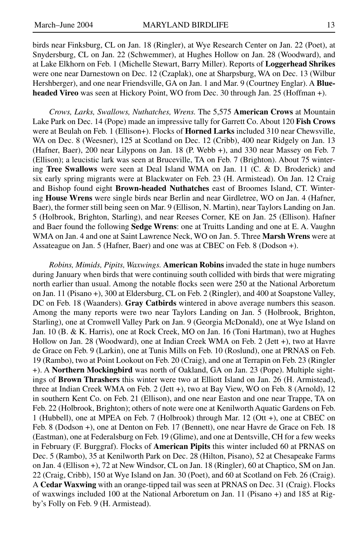birds near Finksburg, CL on Jan. 18 (Ringler), at Wye Research Center on Jan. 22 (Poet), at Snydersburg, CL on Jan. 22 (Schwemmer), at Hughes Hollow on Jan. 28 (Woodward), and at Lake Elkhorn on Feb. 1 (Michelle Stewart, Barry Miller). Reports of **Loggerhead Shrikes** were one near Darnestown on Dec. 12 (Czaplak), one at Sharpsburg, WA on Dec. 13 (Wilbur Hershberger), and one near Friendsville, GA on Jan. 1 and Mar. 9 (Courtney Englar). A **Blueheaded Vireo** was seen at Hickory Point, WO from Dec. 30 through Jan. 25 (Hoffman +).

*Crows, Larks, Swallows, Nuthatches, Wrens.* The 5,575 **American Crows** at Mountain Lake Park on Dec. 14 (Pope) made an impressive tally for Garrett Co. About 120 **Fish Crows** were at Beulah on Feb. 1 (Ellison+). Flocks of **Horned Larks** included 310 near Chewsville, WA on Dec. 8 (Weesner), 125 at Scotland on Dec. 12 (Cribb), 400 near Ridgely on Jan. 13 (Hafner, Baer), 200 near Lilypons on Jan. 18 (P. Webb +), and 330 near Massey on Feb. 7 (Ellison); a leucistic lark was seen at Bruceville, TA on Feb. 7 (Brighton). About 75 wintering **Tree Swallows** were seen at Deal Island WMA on Jan. 11 (C. & D. Broderick) and six early spring migrants were at Blackwater on Feb. 23 (H. Armistead). On Jan. 12 Craig and Bishop found eight **Brown-headed Nuthatches** east of Broomes Island, CT. Wintering **House Wrens** were single birds near Berlin and near Girdletree, WO on Jan. 4 (Hafner, Baer), the former still being seen on Mar. 9 (Ellison, N. Martin), near Taylors Landing on Jan. 5 (Holbrook, Brighton, Starling), and near Reeses Corner, KE on Jan. 25 (Ellison). Hafner and Baer found the following **Sedge Wrens**: one at Truitts Landing and one at E. A. Vaughn WMA on Jan. 4 and one at Saint Lawrence Neck, WO on Jan. 5. Three **Marsh Wrens** were at Assateague on Jan. 5 (Hafner, Baer) and one was at CBEC on Feb. 8 (Dodson +).

*Robins, Mimids, Pipits, Waxwings.* **American Robins** invaded the state in huge numbers during January when birds that were continuing south collided with birds that were migrating north earlier than usual. Among the notable flocks seen were 250 at the National Arboretum on Jan. 11 (Pisano +), 300 at Eldersburg, CL on Feb. 2 (Ringler), and 400 at Soapstone Valley, DC on Feb. 18 (Waanders). **Gray Catbirds** wintered in above average numbers this season. Among the many reports were two near Taylors Landing on Jan. 5 (Holbrook, Brighton, Starling), one at Cromwell Valley Park on Jan. 9 (Georgia McDonald), one at Wye Island on Jan. 10 (B. & K. Harris), one at Rock Creek, MO on Jan. 16 (Toni Hartman), two at Hughes Hollow on Jan. 28 (Woodward), one at Indian Creek WMA on Feb. 2 (Jett +), two at Havre de Grace on Feb. 9 (Larkin), one at Tunis Mills on Feb. 10 (Roslund), one at PRNAS on Feb. 19 (Rambo), two at Point Lookout on Feb. 20 (Craig), and one at Terrapin on Feb. 23 (Ringler +). A **Northern Mockingbird** was north of Oakland, GA on Jan. 23 (Pope). Multiple sightings of **Brown Thrashers** this winter were two at Elliott Island on Jan. 26 (H. Armistead), three at Indian Creek WMA on Feb. 2 (Jett +), two at Bay View, WO on Feb. 8 (Arnold), 12 in southern Kent Co. on Feb. 21 (Ellison), and one near Easton and one near Trappe, TA on Feb. 22 (Holbrook, Brighton); others of note were one at Kenilworth Aquatic Gardens on Feb. 1 (Hubbell), one at MPEA on Feb. 7 (Holbrook) through Mar. 12 (Ott +), one at CBEC on Feb. 8 (Dodson +), one at Denton on Feb. 17 (Bennett), one near Havre de Grace on Feb. 18 (Eastman), one at Federalsburg on Feb. 19 (Glime), and one at Dentsville, CH for a few weeks in February (F. Burggraf). Flocks of **American Pipits** this winter included 60 at PRNAS on Dec. 5 (Rambo), 35 at Kenilworth Park on Dec. 28 (Hilton, Pisano), 52 at Chesapeake Farms on Jan. 4 (Ellison +), 72 at New Windsor, CL on Jan. 18 (Ringler), 60 at Chaptico, SM on Jan. 22 (Craig, Cribb), 150 at Wye Island on Jan. 30 (Poet), and 60 at Scotland on Feb. 26 (Craig). A **Cedar Waxwing** with an orange-tipped tail was seen at PRNAS on Dec. 31 (Craig). Flocks of waxwings included 100 at the National Arboretum on Jan. 11 (Pisano +) and 185 at Rigby's Folly on Feb. 9 (H. Armistead).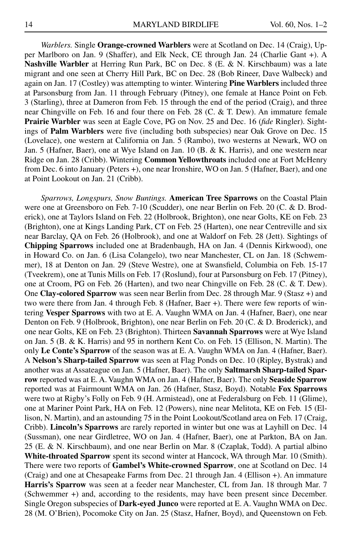*Warblers.* Single **Orange-crowned Warblers** were at Scotland on Dec. 14 (Craig), Upper Marlboro on Jan. 9 (Shaffer), and Elk Neck, CE through Jan. 24 (Charlie Gant +). A **Nashville Warbler** at Herring Run Park, BC on Dec. 8 (E. & N. Kirschbaum) was a late migrant and one seen at Cherry Hill Park, BC on Dec. 28 (Bob Rineer, Dave Walbeck) and again on Jan. 17 (Costley) was attempting to winter. Wintering **Pine Warblers** included three at Parsonsburg from Jan. 11 through February (Pitney), one female at Hance Point on Feb. 3 (Starling), three at Dameron from Feb. 15 through the end of the period (Craig), and three near Chingville on Feb. 16 and four there on Feb. 28 (C. & T. Dew). An immature female **Prairie Warbler** was seen at Eagle Cove, PG on Nov. 25 and Dec. 16 (*fide* Ringler). Sightings of **Palm Warblers** were five (including both subspecies) near Oak Grove on Dec. 15 (Lovelace), one western at California on Jan. 5 (Rambo), two westerns at Newark, WO on Jan. 5 (Hafner, Baer), one at Wye Island on Jan. 10 (B. & K. Harris), and one western near Ridge on Jan. 28 (Cribb). Wintering **Common Yellowthroats** included one at Fort McHenry from Dec. 6 into January (Peters +), one near Ironshire, WO on Jan. 5 (Hafner, Baer), and one at Point Lookout on Jan. 21 (Cribb).

*Sparrows, Longspurs, Snow Buntings.* **American Tree Sparrows** on the Coastal Plain were one at Greensboro on Feb. 7-10 (Scudder), one near Berlin on Feb. 20 (C. & D. Broderick), one at Taylors Island on Feb. 22 (Holbrook, Brighton), one near Golts, KE on Feb. 23 (Brighton), one at Kings Landing Park, CT on Feb. 25 (Harten), one near Centreville and six near Barclay, QA on Feb. 26 (Holbrook), and one at Waldorf on Feb. 28 (Jett). Sightings of **Chipping Sparrows** included one at Bradenbaugh, HA on Jan. 4 (Dennis Kirkwood), one in Howard Co. on Jan. 6 (Lisa Colangelo), two near Manchester, CL on Jan. 18 (Schwemmer), 18 at Denton on Jan. 29 (Steve Westre), one at Swansfield, Columbia on Feb. 15-17 (Tveekrem), one at Tunis Mills on Feb. 17 (Roslund), four at Parsonsburg on Feb. 17 (Pitney), one at Croom, PG on Feb. 26 (Harten), and two near Chingville on Feb. 28 (C. & T. Dew). One **Clay-colored Sparrow** was seen near Berlin from Dec. 28 through Mar. 9 (Stasz +) and two were there from Jan. 4 through Feb. 8 (Hafner, Baer +). There were few reports of wintering **Vesper Sparrows** with two at E. A. Vaughn WMA on Jan. 4 (Hafner, Baer), one near Denton on Feb. 9 (Holbrook, Brighton), one near Berlin on Feb. 20 (C. & D. Broderick), and one near Golts, KE on Feb. 23 (Brighton). Thirteen **Savannah Sparrows** were at Wye Island on Jan. 5 (B. & K. Harris) and 95 in northern Kent Co. on Feb. 15 (Ellison, N. Martin). The only **Le Conte's Sparrow** of the season was at E. A. Vaughn WMA on Jan. 4 (Hafner, Baer). A **Nelson's Sharp-tailed Sparrow** was seen at Flag Ponds on Dec. 10 (Ripley, Bystrak) and another was at Assateague on Jan. 5 (Hafner, Baer). The only **Saltmarsh Sharp-tailed Sparrow** reported was at E. A. Vaughn WMA on Jan. 4 (Hafner, Baer). The only **Seaside Sparrow** reported was at Fairmount WMA on Jan. 26 (Hafner, Stasz, Boyd). Notable **Fox Sparrows** were two at Rigby's Folly on Feb. 9 (H. Armistead), one at Federalsburg on Feb. 11 (Glime), one at Mariner Point Park, HA on Feb. 12 (Powers), nine near Melitota, KE on Feb. 15 (Ellison, N. Martin), and an astounding 75 in the Point Lookout/Scotland area on Feb. 17 (Craig, Cribb). **Lincoln's Sparrows** are rarely reported in winter but one was at Layhill on Dec. 14 (Sussman), one near Girdletree, WO on Jan. 4 (Hafner, Baer), one at Parkton, BA on Jan. 25 (E. & N. Kirschbaum), and one near Berlin on Mar. 8 (Czaplak, Todd). A partial albino **White-throated Sparrow** spent its second winter at Hancock, WA through Mar. 10 (Smith). There were two reports of **Gambel's White-crowned Sparrow**, one at Scotland on Dec. 14 (Craig) and one at Chesapeake Farms from Dec. 21 through Jan. 4 (Ellison +). An immature **Harris's Sparrow** was seen at a feeder near Manchester, CL from Jan. 18 through Mar. 7 (Schwemmer +) and, according to the residents, may have been present since December. Single Oregon subspecies of **Dark-eyed Junco** were reported at E. A. Vaughn WMA on Dec. 28 (M. O'Brien), Pocomoke City on Jan. 25 (Stasz, Hafner, Boyd), and Queenstown on Feb.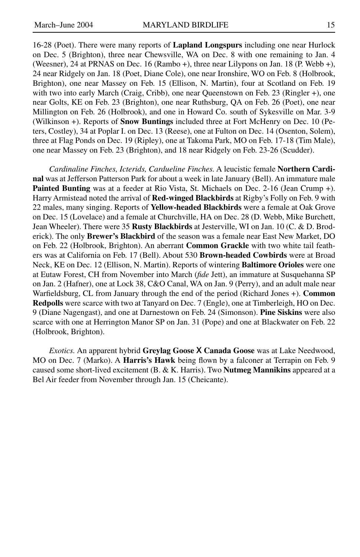16-28 (Poet). There were many reports of **Lapland Longspurs** including one near Hurlock on Dec. 5 (Brighton), three near Chewsville, WA on Dec. 8 with one remaining to Jan. 4 (Weesner), 24 at PRNAS on Dec. 16 (Rambo +), three near Lilypons on Jan. 18 (P. Webb +), 24 near Ridgely on Jan. 18 (Poet, Diane Cole), one near Ironshire, WO on Feb. 8 (Holbrook, Brighton), one near Massey on Feb. 15 (Ellison, N. Martin), four at Scotland on Feb. 19 with two into early March (Craig, Cribb), one near Queenstown on Feb. 23 (Ringler +), one near Golts, KE on Feb. 23 (Brighton), one near Ruthsburg, QA on Feb. 26 (Poet), one near Millington on Feb. 26 (Holbrook), and one in Howard Co. south of Sykesville on Mar. 3-9 (Wilkinson +). Reports of **Snow Buntings** included three at Fort McHenry on Dec. 10 (Peters, Costley), 34 at Poplar I. on Dec. 13 (Reese), one at Fulton on Dec. 14 (Osenton, Solem), three at Flag Ponds on Dec. 19 (Ripley), one at Takoma Park, MO on Feb. 17-18 (Tim Male), one near Massey on Feb. 23 (Brighton), and 18 near Ridgely on Feb. 23-26 (Scudder).

*Cardinaline Finches, Icterids, Cardueline Finches.* A leucistic female **Northern Cardinal** was at Jefferson Patterson Park for about a week in late January (Bell). An immature male **Painted Bunting** was at a feeder at Rio Vista, St. Michaels on Dec. 2-16 (Jean Crump +). Harry Armistead noted the arrival of **Red-winged Blackbirds** at Rigby's Folly on Feb. 9 with 22 males, many singing. Reports of **Yellow-headed Blackbirds** were a female at Oak Grove on Dec. 15 (Lovelace) and a female at Churchville, HA on Dec. 28 (D. Webb, Mike Burchett, Jean Wheeler). There were 35 **Rusty Blackbirds** at Jesterville, WI on Jan. 10 (C. & D. Broderick). The only **Brewer's Blackbird** of the season was a female near East New Market, DO on Feb. 22 (Holbrook, Brighton). An aberrant **Common Grackle** with two white tail feathers was at California on Feb. 17 (Bell). About 530 **Brown-headed Cowbirds** were at Broad Neck, KE on Dec. 12 (Ellison, N. Martin). Reports of wintering **Baltimore Orioles** were one at Eutaw Forest, CH from November into March (*fide* Jett), an immature at Susquehanna SP on Jan. 2 (Hafner), one at Lock 38, C&O Canal, WA on Jan. 9 (Perry), and an adult male near Warfieldsburg, CL from January through the end of the period (Richard Jones +). **Common Redpolls** were scarce with two at Tanyard on Dec. 7 (Engle), one at Timberleigh, HO on Dec. 9 (Diane Nagengast), and one at Darnestown on Feb. 24 (Simonson). **Pine Siskins** were also scarce with one at Herrington Manor SP on Jan. 31 (Pope) and one at Blackwater on Feb. 22 (Holbrook, Brighton).

*Exotics.* An apparent hybrid **Greylag Goose X Canada Goose** was at Lake Needwood, MO on Dec. 7 (Marko). A **Harris's Hawk** being flown by a falconer at Terrapin on Feb. 9 caused some short-lived excitement (B. & K. Harris). Two **Nutmeg Mannikins** appeared at a Bel Air feeder from November through Jan. 15 (Cheicante).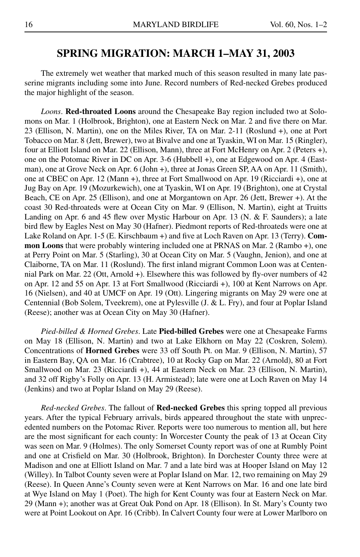#### **SPRING MIGRATION: MARCH 1–MAY 31, 2003**

The extremely wet weather that marked much of this season resulted in many late passerine migrants including some into June. Record numbers of Red-necked Grebes produced the major highlight of the season.

*Loons*. **Red-throated Loons** around the Chesapeake Bay region included two at Solomons on Mar. 1 (Holbrook, Brighton), one at Eastern Neck on Mar. 2 and five there on Mar. 23 (Ellison, N. Martin), one on the Miles River, TA on Mar. 2-11 (Roslund +), one at Port Tobacco on Mar. 8 (Jett, Brewer), two at Bivalve and one at Tyaskin, WI on Mar. 15 (Ringler), four at Elliott Island on Mar. 22 (Ellison, Mann), three at Fort McHenry on Apr. 2 (Peters +), one on the Potomac River in DC on Apr. 3-6 (Hubbell +), one at Edgewood on Apr. 4 (Eastman), one at Grove Neck on Apr. 6 (John +), three at Jonas Green SP, AA on Apr. 11 (Smith), one at CBEC on Apr. 12 (Mann +), three at Fort Smallwood on Apr. 19 (Ricciardi +), one at Jug Bay on Apr. 19 (Mozurkewich), one at Tyaskin, WI on Apr. 19 (Brighton), one at Crystal Beach, CE on Apr. 25 (Ellison), and one at Morgantown on Apr. 26 (Jett, Brewer +). At the coast 30 Red-throateds were at Ocean City on Mar. 9 (Ellison, N. Martin), eight at Truitts Landing on Apr. 6 and 45 flew over Mystic Harbour on Apr. 13 (N. & F. Saunders); a late bird flew by Eagles Nest on May 30 (Hafner). Piedmont reports of Red-throateds were one at Lake Roland on Apr. 1-5 (E. Kirschbaum +) and five at Loch Raven on Apr. 13 (Terry). **Common Loons** that were probably wintering included one at PRNAS on Mar. 2 (Rambo +), one at Perry Point on Mar. 5 (Starling), 30 at Ocean City on Mar. 5 (Vaughn, Jenion), and one at Claiborne, TA on Mar. 11 (Roslund). The first inland migrant Common Loon was at Centennial Park on Mar. 22 (Ott, Arnold +). Elsewhere this was followed by fly-over numbers of 42 on Apr. 12 and 55 on Apr. 13 at Fort Smallwood (Ricciardi +), 100 at Kent Narrows on Apr. 16 (Nielsen), and 40 at UMCF on Apr. 19 (Ott). Lingering migrants on May 29 were one at Centennial (Bob Solem, Tveekrem), one at Pylesville (J. & L. Fry), and four at Poplar Island (Reese); another was at Ocean City on May 30 (Hafner).

*Pied-billed & Horned Grebes*. Late **Pied-billed Grebes** were one at Chesapeake Farms on May 18 (Ellison, N. Martin) and two at Lake Elkhorn on May 22 (Coskren, Solem). Concentrations of **Horned Grebes** were 33 off South Pt. on Mar. 9 (Ellison, N. Martin), 57 in Eastern Bay, QA on Mar. 16 (Crabtree), 10 at Rocky Gap on Mar. 22 (Arnold), 80 at Fort Smallwood on Mar. 23 (Ricciardi +), 44 at Eastern Neck on Mar. 23 (Ellison, N. Martin), and 32 off Rigby's Folly on Apr. 13 (H. Armistead); late were one at Loch Raven on May 14 (Jenkins) and two at Poplar Island on May 29 (Reese).

*Red-necked Grebes*. The fallout of **Red-necked Grebes** this spring topped all previous years. After the typical February arrivals, birds appeared throughout the state with unprecedented numbers on the Potomac River. Reports were too numerous to mention all, but here are the most significant for each county: In Worcester County the peak of 13 at Ocean City was seen on Mar. 9 (Holmes). The only Somerset County report was of one at Rumbly Point and one at Crisfield on Mar. 30 (Holbrook, Brighton). In Dorchester County three were at Madison and one at Elliott Island on Mar. 7 and a late bird was at Hooper Island on May 12 (Willey). In Talbot County seven were at Poplar Island on Mar. 12, two remaining on May 29 (Reese). In Queen Anne's County seven were at Kent Narrows on Mar. 16 and one late bird at Wye Island on May 1 (Poet). The high for Kent County was four at Eastern Neck on Mar. 29 (Mann +); another was at Great Oak Pond on Apr. 18 (Ellison). In St. Mary's County two were at Point Lookout on Apr. 16 (Cribb). In Calvert County four were at Lower Marlboro on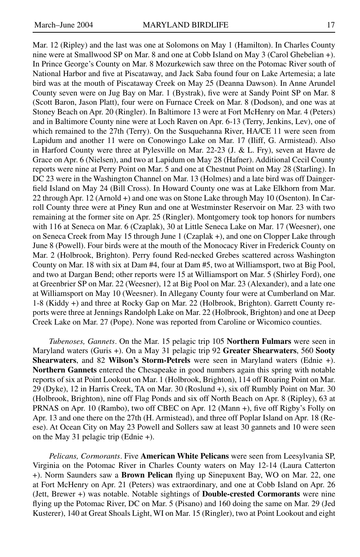Mar. 12 (Ripley) and the last was one at Solomons on May 1 (Hamilton). In Charles County nine were at Smallwood SP on Mar. 8 and one at Cobb Island on May 3 (Carol Ghebelian +). In Prince George's County on Mar. 8 Mozurkewich saw three on the Potomac River south of National Harbor and five at Piscataway, and Jack Saba found four on Lake Artemesia; a late bird was at the mouth of Piscataway Creek on May 25 (Deanna Dawson). In Anne Arundel County seven were on Jug Bay on Mar. 1 (Bystrak), five were at Sandy Point SP on Mar. 8 (Scott Baron, Jason Platt), four were on Furnace Creek on Mar. 8 (Dodson), and one was at Stoney Beach on Apr. 20 (Ringler). In Baltimore 13 were at Fort McHenry on Mar. 4 (Peters) and in Baltimore County nine were at Loch Raven on Apr. 6-13 (Terry, Jenkins, Lev), one of which remained to the 27th (Terry). On the Susquehanna River, HA/CE 11 were seen from Lapidum and another 11 were on Conowingo Lake on Mar. 17 (Iliff, G. Armistead). Also in Harford County were three at Pylesville on Mar. 22-23 (J. & L. Fry), seven at Havre de Grace on Apr. 6 (Nielsen), and two at Lapidum on May 28 (Hafner). Additional Cecil County reports were nine at Perry Point on Mar. 5 and one at Chestnut Point on May 28 (Starling). In DC 23 were in the Washington Channel on Mar. 13 (Holmes) and a late bird was off Daingerfield Island on May 24 (Bill Cross). In Howard County one was at Lake Elkhorn from Mar. 22 through Apr. 12 (Arnold +) and one was on Stone Lake through May 10 (Osenton). In Carroll County three were at Piney Run and one at Westminster Reservoir on Mar. 23 with two remaining at the former site on Apr. 25 (Ringler). Montgomery took top honors for numbers with 116 at Seneca on Mar. 6 (Czaplak), 30 at Little Seneca Lake on Mar. 17 (Weesner), one on Seneca Creek from May 15 through June 1 (Czaplak +), and one on Clopper Lake through June 8 (Powell). Four birds were at the mouth of the Monocacy River in Frederick County on Mar. 2 (Holbrook, Brighton). Perry found Red-necked Grebes scattered across Washington County on Mar. 18 with six at Dam #4, four at Dam #5, two at Williamsport, two at Big Pool, and two at Dargan Bend; other reports were 15 at Williamsport on Mar. 5 (Shirley Ford), one at Greenbrier SP on Mar. 22 (Weesner), 12 at Big Pool on Mar. 23 (Alexander), and a late one at Williamsport on May 10 (Weesner). In Allegany County four were at Cumberland on Mar. 1-8 (Kiddy +) and three at Rocky Gap on Mar. 22 (Holbrook, Brighton). Garrett County reports were three at Jennings Randolph Lake on Mar. 22 (Holbrook, Brighton) and one at Deep Creek Lake on Mar. 27 (Pope). None was reported from Caroline or Wicomico counties.

*Tubenoses, Gannets*. On the Mar. 15 pelagic trip 105 **Northern Fulmars** were seen in Maryland waters (Guris +). On a May 31 pelagic trip 92 **Greater Shearwaters**, 560 **Sooty Shearwaters**, and 82 **Wilson's Storm-Petrels** were seen in Maryland waters (Ednie +). **Northern Gannets** entered the Chesapeake in good numbers again this spring with notable reports of six at Point Lookout on Mar. 1 (Holbrook, Brighton), 114 off Roaring Point on Mar. 29 (Dyke), 12 in Harris Creek, TA on Mar. 30 (Roslund +), six off Rumbly Point on Mar. 30 (Holbrook, Brighton), nine off Flag Ponds and six off North Beach on Apr. 8 (Ripley), 63 at PRNAS on Apr. 10 (Rambo), two off CBEC on Apr. 12 (Mann +), five off Rigby's Folly on Apr. 13 and one there on the 27th (H. Armistead), and three off Poplar Island on Apr. 18 (Reese). At Ocean City on May 23 Powell and Sollers saw at least 30 gannets and 10 were seen on the May 31 pelagic trip (Ednie +).

*Pelicans, Cormorants*. Five **American White Pelicans** were seen from Leesylvania SP, Virginia on the Potomac River in Charles County waters on May 12-14 (Laura Catterton +). Norm Saunders saw a **Brown Pelican** flying up Sinepuxent Bay, WO on Mar. 22, one at Fort McHenry on Apr. 21 (Peters) was extraordinary, and one at Cobb Island on Apr. 26 (Jett, Brewer +) was notable. Notable sightings of **Double-crested Cormorants** were nine flying up the Potomac River, DC on Mar. 5 (Pisano) and 160 doing the same on Mar. 29 (Jed Kusterer), 140 at Great Shoals Light, WI on Mar. 15 (Ringler), two at Point Lookout and eight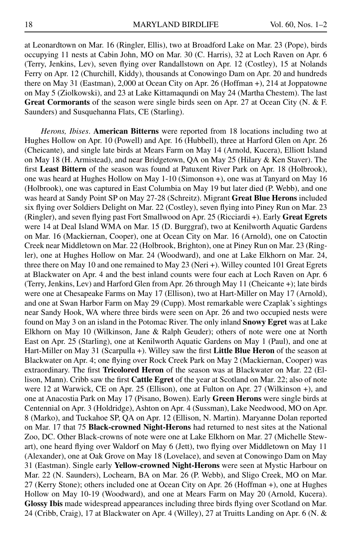at Leonardtown on Mar. 16 (Ringler, Ellis), two at Broadford Lake on Mar. 23 (Pope), birds occupying 11 nests at Cabin John, MO on Mar. 30 (C. Harris), 32 at Loch Raven on Apr. 6 (Terry, Jenkins, Lev), seven flying over Randallstown on Apr. 12 (Costley), 15 at Nolands Ferry on Apr. 12 (Churchill, Kiddy), thousands at Conowingo Dam on Apr. 20 and hundreds there on May 31 (Eastman), 2,000 at Ocean City on Apr. 26 (Hoffman +), 214 at Joppatowne on May 5 (Ziolkowski), and 23 at Lake Kittamaqundi on May 24 (Martha Chestem). The last **Great Cormorants** of the season were single birds seen on Apr. 27 at Ocean City (N. & F. Saunders) and Susquehanna Flats, CE (Starling).

*Herons, Ibises*. **American Bitterns** were reported from 18 locations including two at Hughes Hollow on Apr. 10 (Powell) and Apr. 16 (Hubbell), three at Harford Glen on Apr. 26 (Cheicante), and single late birds at Mears Farm on May 14 (Arnold, Kucera), Elliott Island on May 18 (H. Armistead), and near Bridgetown, QA on May 25 (Hilary & Ken Staver). The first **Least Bittern** of the season was found at Patuxent River Park on Apr. 18 (Holbrook), one was heard at Hughes Hollow on May 1-10 (Simonson +), one was at Tanyard on May 16 (Holbrook), one was captured in East Columbia on May 19 but later died (P. Webb), and one was heard at Sandy Point SP on May 27-28 (Schreitz). Migrant **Great Blue Herons** included six flying over Soldiers Delight on Mar. 22 (Costley), seven flying into Piney Run on Mar. 23 (Ringler), and seven flying past Fort Smallwood on Apr. 25 (Ricciardi +). Early **Great Egrets** were 14 at Deal Island WMA on Mar. 15 (D. Burggraf), two at Kenilworth Aquatic Gardens on Mar. 16 (Mackiernan, Cooper), one at Ocean City on Mar. 16 (Arnold), one on Catoctin Creek near Middletown on Mar. 22 (Holbrook, Brighton), one at Piney Run on Mar. 23 (Ringler), one at Hughes Hollow on Mar. 24 (Woodward), and one at Lake Elkhorn on Mar. 24, three there on May 10 and one remained to May 23 (Neri +). Willey counted 101 Great Egrets at Blackwater on Apr. 4 and the best inland counts were four each at Loch Raven on Apr. 6 (Terry, Jenkins, Lev) and Harford Glen from Apr. 26 through May 11 (Cheicante +); late birds were one at Chesapeake Farms on May 17 (Ellison), two at Hart-Miller on May 17 (Arnold), and one at Swan Harbor Farm on May 29 (Cupp). Most remarkable were Czaplak's sightings near Sandy Hook, WA where three birds were seen on Apr. 26 and two occupied nests were found on May 3 on an island in the Potomac River. The only inland **Snowy Egret** was at Lake Elkhorn on May 10 (Wilkinson, Jane & Ralph Geuder); others of note were one at North East on Apr. 25 (Starling), one at Kenilworth Aquatic Gardens on May 1 (Paul), and one at Hart-Miller on May 31 (Scarpulla +). Willey saw the first **Little Blue Heron** of the season at Blackwater on Apr. 4; one flying over Rock Creek Park on May 2 (Mackiernan, Cooper) was extraordinary. The first **Tricolored Heron** of the season was at Blackwater on Mar. 22 (Ellison, Mann). Cribb saw the first **Cattle Egret** of the year at Scotland on Mar. 22; also of note were 12 at Warwick, CE on Apr. 25 (Ellison), one at Fulton on Apr. 27 (Wilkinson +), and one at Anacostia Park on May 17 (Pisano, Bowen). Early **Green Herons** were single birds at Centennial on Apr. 3 (Holdridge), Ashton on Apr. 4 (Sussman), Lake Needwood, MO on Apr. 8 (Marko), and Tuckahoe SP, QA on Apr. 12 (Ellison, N. Martin). Maryanne Dolan reported on Mar. 17 that 75 **Black-crowned Night-Herons** had returned to nest sites at the National Zoo, DC. Other Black-crowns of note were one at Lake Elkhorn on Mar. 27 (Michelle Stewart), one heard flying over Waldorf on May 6 (Jett), two flying over Middletown on May 11 (Alexander), one at Oak Grove on May 18 (Lovelace), and seven at Conowingo Dam on May 31 (Eastman). Single early **Yellow-crowned Night-Herons** were seen at Mystic Harbour on Mar. 22 (N. Saunders), Lochearn, BA on Mar. 26 (P. Webb), and Sligo Creek, MO on Mar. 27 (Kerry Stone); others included one at Ocean City on Apr. 26 (Hoffman +), one at Hughes Hollow on May 10-19 (Woodward), and one at Mears Farm on May 20 (Arnold, Kucera). **Glossy Ibis** made widespread appearances including three birds flying over Scotland on Mar. 24 (Cribb, Craig), 17 at Blackwater on Apr. 4 (Willey), 27 at Truitts Landing on Apr. 6 (N. &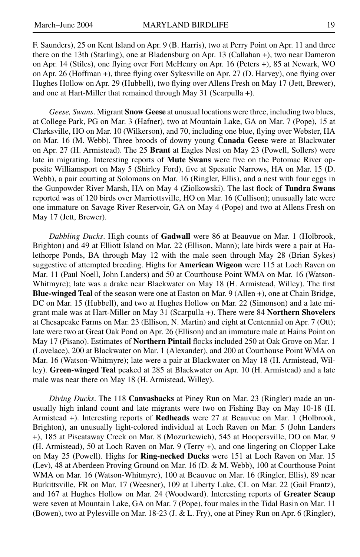F. Saunders), 25 on Kent Island on Apr. 9 (B. Harris), two at Perry Point on Apr. 11 and three there on the 13th (Starling), one at Bladensburg on Apr. 13 (Callahan +), two near Dameron on Apr. 14 (Stiles), one flying over Fort McHenry on Apr. 16 (Peters +), 85 at Newark, WO on Apr. 26 (Hoffman +), three flying over Sykesville on Apr. 27 (D. Harvey), one flying over Hughes Hollow on Apr. 29 (Hubbell), two flying over Allens Fresh on May 17 (Jett, Brewer), and one at Hart-Miller that remained through May 31 (Scarpulla +).

*Geese, Swans*. Migrant **Snow Geese** at unusual locations were three, including two blues, at College Park, PG on Mar. 3 (Hafner), two at Mountain Lake, GA on Mar. 7 (Pope), 15 at Clarksville, HO on Mar. 10 (Wilkerson), and 70, including one blue, flying over Webster, HA on Mar. 16 (M. Webb). Three broods of downy young **Canada Geese** were at Blackwater on Apr. 27 (H. Armistead). The 25 **Brant** at Eagles Nest on May 23 (Powell, Sollers) were late in migrating. Interesting reports of **Mute Swans** were five on the Potomac River opposite Williamsport on May 5 (Shirley Ford), five at Spesutie Narrows, HA on Mar. 15 (D. Webb), a pair courting at Solomons on Mar. 16 (Ringler, Ellis), and a nest with four eggs in the Gunpowder River Marsh, HA on May 4 (Ziolkowski). The last flock of **Tundra Swans** reported was of 120 birds over Marriottsville, HO on Mar. 16 (Cullison); unusually late were one immature on Savage River Reservoir, GA on May 4 (Pope) and two at Allens Fresh on May 17 (Jett, Brewer).

*Dabbling Ducks*. High counts of **Gadwall** were 86 at Beauvue on Mar. 1 (Holbrook, Brighton) and 49 at Elliott Island on Mar. 22 (Ellison, Mann); late birds were a pair at Halethorpe Ponds, BA through May 12 with the male seen through May 28 (Brian Sykes) suggestive of attempted breeding. Highs for **American Wigeon** were 115 at Loch Raven on Mar. 11 (Paul Noell, John Landers) and 50 at Courthouse Point WMA on Mar. 16 (Watson-Whitmyre); late was a drake near Blackwater on May 18 (H. Armistead, Willey). The first **Blue-winged Teal** of the season were one at Easton on Mar. 9 (Allen +), one at Chain Bridge, DC on Mar. 15 (Hubbell), and two at Hughes Hollow on Mar. 22 (Simonson) and a late migrant male was at Hart-Miller on May 31 (Scarpulla +). There were 84 **Northern Shovelers** at Chesapeake Farms on Mar. 23 (Ellison, N. Martin) and eight at Centennial on Apr. 7 (Ott); late were two at Great Oak Pond on Apr. 26 (Ellison) and an immature male at Hains Point on May 17 (Pisano). Estimates of **Northern Pintail** flocks included 250 at Oak Grove on Mar. 1 (Lovelace), 200 at Blackwater on Mar. 1 (Alexander), and 200 at Courthouse Point WMA on Mar. 16 (Watson-Whitmyre); late were a pair at Blackwater on May 18 (H. Armistead, Willey). **Green-winged Teal** peaked at 285 at Blackwater on Apr. 10 (H. Armistead) and a late male was near there on May 18 (H. Armistead, Willey).

*Diving Ducks*. The 118 **Canvasbacks** at Piney Run on Mar. 23 (Ringler) made an unusually high inland count and late migrants were two on Fishing Bay on May 10-18 (H. Armistead +). Interesting reports of **Redheads** were 27 at Beauvue on Mar. 1 (Holbrook, Brighton), an unusually light-colored individual at Loch Raven on Mar. 5 (John Landers +), 185 at Piscataway Creek on Mar. 8 (Mozurkewich), 545 at Hoopersville, DO on Mar. 9 (H. Armistead), 50 at Loch Raven on Mar. 9 (Terry +), and one lingering on Clopper Lake on May 25 (Powell). Highs for **Ring-necked Ducks** were 151 at Loch Raven on Mar. 15 (Lev), 48 at Aberdeen Proving Ground on Mar. 16 (D. & M. Webb), 100 at Courthouse Point WMA on Mar. 16 (Watson-Whitmyre), 100 at Beauvue on Mar. 16 (Ringler, Ellis), 89 near Burkittsville, FR on Mar. 17 (Weesner), 109 at Liberty Lake, CL on Mar. 22 (Gail Frantz), and 167 at Hughes Hollow on Mar. 24 (Woodward). Interesting reports of **Greater Scaup** were seven at Mountain Lake, GA on Mar. 7 (Pope), four males in the Tidal Basin on Mar. 11 (Bowen), two at Pylesville on Mar. 18-23 (J. & L. Fry), one at Piney Run on Apr. 6 (Ringler),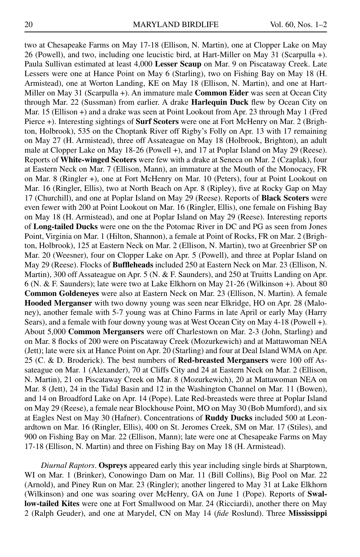two at Chesapeake Farms on May 17-18 (Ellison, N. Martin), one at Clopper Lake on May 26 (Powell), and two, including one leucistic bird, at Hart-Miller on May 31 (Scarpulla +). Paula Sullivan estimated at least 4,000 **Lesser Scaup** on Mar. 9 on Piscataway Creek. Late Lessers were one at Hance Point on May 6 (Starling), two on Fishing Bay on May 18 (H. Armistead), one at Worton Landing, KE on May 18 (Ellison, N. Martin), and one at Hart-Miller on May 31 (Scarpulla +). An immature male **Common Eider** was seen at Ocean City through Mar. 22 (Sussman) from earlier. A drake **Harlequin Duck** flew by Ocean City on Mar. 15 (Ellison +) and a drake was seen at Point Lookout from Apr. 23 through May 1 (Fred Pierce +). Interesting sightings of **Surf Scoters** were one at Fort McHenry on Mar. 2 (Brighton, Holbrook), 535 on the Choptank River off Rigby's Folly on Apr. 13 with 17 remaining on May 27 (H. Armistead), three off Assateague on May 18 (Holbrook, Brighton), an adult male at Clopper Lake on May 18-26 (Powell +), and 17 at Poplar Island on May 29 (Reese). Reports of **White-winged Scoters** were few with a drake at Seneca on Mar. 2 (Czaplak), four at Eastern Neck on Mar. 7 (Ellison, Mann), an immature at the Mouth of the Monocacy, FR on Mar. 8 (Ringler +), one at Fort McHenry on Mar. 10 (Peters), four at Point Lookout on Mar. 16 (Ringler, Ellis), two at North Beach on Apr. 8 (Ripley), five at Rocky Gap on May 17 (Churchill), and one at Poplar Island on May 29 (Reese). Reports of **Black Scoters** were even fewer with 200 at Point Lookout on Mar. 16 (Ringler, Ellis), one female on Fishing Bay on May 18 (H. Armistead), and one at Poplar Island on May 29 (Reese). Interesting reports of **Long-tailed Ducks** were one on the the Potomac River in DC and PG as seen from Jones Point, Virginia on Mar. 1 (Hilton, Shannon), a female at Point of Rocks, FR on Mar. 2 (Brighton, Holbrook), 125 at Eastern Neck on Mar. 2 (Ellison, N. Martin), two at Greenbrier SP on Mar. 20 (Weesner), four on Clopper Lake on Apr. 5 (Powell), and three at Poplar Island on May 29 (Reese). Flocks of **Buffleheads** included 250 at Eastern Neck on Mar. 23 (Ellison, N. Martin), 300 off Assateague on Apr. 5 (N. & F. Saunders), and 250 at Truitts Landing on Apr. 6 (N. & F. Saunders); late were two at Lake Elkhorn on May 21-26 (Wilkinson +). About 80 **Common Goldeneyes** were also at Eastern Neck on Mar. 23 (Ellison, N. Martin). A female **Hooded Merganser** with two downy young was seen near Elkridge, HO on Apr. 28 (Maloney), another female with 5-7 young was at Chino Farms in late April or early May (Harry Sears), and a female with four downy young was at West Ocean City on May 4-18 (Powell +). About 5,000 **Common Mergansers** were off Charlestown on Mar. 2-3 (John, Starling) and on Mar. 8 flocks of 200 were on Piscataway Creek (Mozurkewich) and at Mattawoman NEA (Jett); late were six at Hance Point on Apr. 20 (Starling) and four at Deal Island WMA on Apr. 25 (C. & D. Broderick). The best numbers of **Red-breasted Mergansers** were 100 off Assateague on Mar. 1 (Alexander), 70 at Cliffs City and 24 at Eastern Neck on Mar. 2 (Ellison, N. Martin), 21 on Piscataway Creek on Mar. 8 (Mozurkewich), 20 at Mattawoman NEA on Mar. 8 (Jett), 24 in the Tidal Basin and 12 in the Washington Channel on Mar. 11 (Bowen), and 14 on Broadford Lake on Apr. 14 (Pope). Late Red-breasteds were three at Poplar Island on May 29 (Reese), a female near Blockhouse Point, MO on May 30 (Bob Mumford), and six at Eagles Nest on May 30 (Hafner). Concentrations of **Ruddy Ducks** included 500 at Leonardtown on Mar. 16 (Ringler, Ellis), 400 on St. Jeromes Creek, SM on Mar. 17 (Stiles), and 900 on Fishing Bay on Mar. 22 (Ellison, Mann); late were one at Chesapeake Farms on May 17-18 (Ellison, N. Martin) and three on Fishing Bay on May 18 (H. Armistead).

*Diurnal Raptors*. **Ospreys** appeared early this year including single birds at Sharptown, WI on Mar. 1 (Brinker), Conowingo Dam on Mar. 11 (Bill Collins), Big Pool on Mar. 22 (Arnold), and Piney Run on Mar. 23 (Ringler); another lingered to May 31 at Lake Elkhorn (Wilkinson) and one was soaring over McHenry, GA on June 1 (Pope). Reports of **Swallow-tailed Kites** were one at Fort Smallwood on Mar. 24 (Ricciardi), another there on May 2 (Ralph Geuder), and one at Marydel, CN on May 14 (*fide* Roslund). Three **Mississippi**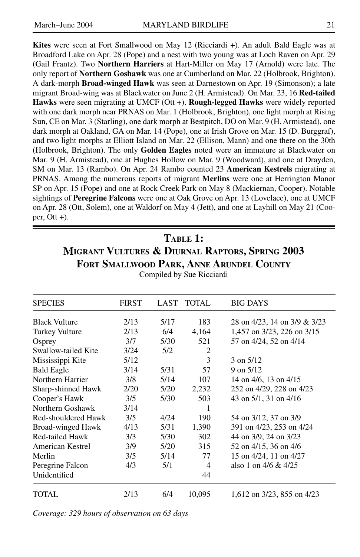**Kites** were seen at Fort Smallwood on May 12 (Ricciardi +). An adult Bald Eagle was at Broadford Lake on Apr. 28 (Pope) and a nest with two young was at Loch Raven on Apr. 29 (Gail Frantz). Two **Northern Harriers** at Hart-Miller on May 17 (Arnold) were late. The only report of **Northern Goshawk** was one at Cumberland on Mar. 22 (Holbrook, Brighton). A dark-morph **Broad-winged Hawk** was seen at Darnestown on Apr. 19 (Simonson); a late migrant Broad-wing was at Blackwater on June 2 (H. Armistead). On Mar. 23, 16 **Red-tailed Hawks** were seen migrating at UMCF (Ott +). **Rough-legged Hawks** were widely reported with one dark morph near PRNAS on Mar. 1 (Holbrook, Brighton), one light morph at Rising Sun, CE on Mar. 3 (Starling), one dark morph at Bestpitch, DO on Mar. 9 (H. Armistead), one dark morph at Oakland, GA on Mar. 14 (Pope), one at Irish Grove on Mar. 15 (D. Burggraf), and two light morphs at Elliott Island on Mar. 22 (Ellison, Mann) and one there on the 30th (Holbrook, Brighton). The only **Golden Eagles** noted were an immature at Blackwater on Mar. 9 (H. Armistead), one at Hughes Hollow on Mar. 9 (Woodward), and one at Drayden, SM on Mar. 13 (Rambo). On Apr. 24 Rambo counted 23 **American Kestrels** migrating at PRNAS. Among the numerous reports of migrant **Merlins** were one at Herrington Manor SP on Apr. 15 (Pope) and one at Rock Creek Park on May 8 (Mackiernan, Cooper). Notable sightings of **Peregrine Falcons** were one at Oak Grove on Apr. 13 (Lovelace), one at UMCF on Apr. 28 (Ott, Solem), one at Waldorf on May 4 (Jett), and one at Layhill on May 21 (Cooper,  $Ott +$ ).

## **Table 1: Migrant Vultures & Diurnal Raptors, Spring 2003 Fort Smallwood Park, Anne Arundel County**

| <b>SPECIES</b>       | <b>FIRST</b> | LAST | <b>TOTAL</b> | <b>BIG DAYS</b>              |
|----------------------|--------------|------|--------------|------------------------------|
| <b>Black Vulture</b> | 2/13         | 5/17 | 183          | 28 on 4/23, 14 on 3/9 & 3/23 |
| Turkey Vulture       | 2/13         | 6/4  | 4,164        | 1,457 on 3/23, 226 on 3/15   |
| Osprey               | 3/7          | 5/30 | 521          | 57 on 4/24, 52 on 4/14       |
| Swallow-tailed Kite  | 3/24         | 5/2  | 2            |                              |
| Mississippi Kite     | 5/12         |      | 3            | $3$ on $5/12$                |
| <b>Bald Eagle</b>    | 3/14         | 5/31 | 57           | $9 \text{ on } 5/12$         |
| Northern Harrier     | 3/8          | 5/14 | 107          | 14 on $4/6$ , 13 on $4/15$   |
| Sharp-shinned Hawk   | 2/20         | 5/20 | 2,232        | 252 on 4/29, 228 on 4/23     |
| Cooper's Hawk        | 3/5          | 5/30 | 503          | 43 on 5/1, 31 on 4/16        |
| Northern Goshawk     | 3/14         |      |              |                              |
| Red-shouldered Hawk  | 3/5          | 4/24 | 190          | 54 on 3/12, 37 on 3/9        |
| Broad-winged Hawk    | 4/13         | 5/31 | 1,390        | 391 on 4/23, 253 on 4/24     |
| Red-tailed Hawk      | 3/3          | 5/30 | 302          | 44 on 3/9, 24 on 3/23        |
| American Kestrel     | 3/9          | 5/20 | 315          | 52 on 4/15, 36 on 4/6        |
| Merlin               | 3/5          | 5/14 | 77           | 15 on 4/24, 11 on 4/27       |
| Peregrine Falcon     | 4/3          | 5/1  | 4            | also 1 on $4/6 & 4/25$       |
| Unidentified         |              |      | 44           |                              |
| TOTAL                | 2/13         | 6/4  | 10,095       | 1,612 on 3/23, 855 on 4/23   |

Compiled by Sue Ricciardi

*Coverage: 329 hours of observation on 63 days*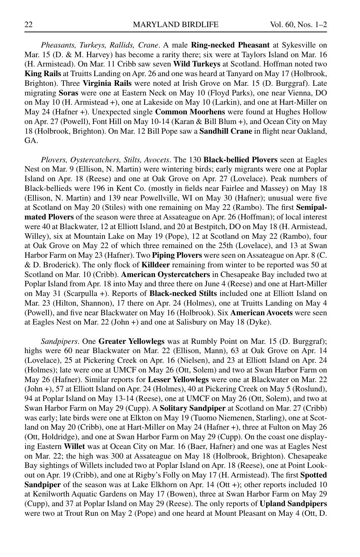*Pheasants, Turkeys, Rallids, Crane*. A male **Ring-necked Pheasant** at Sykesville on Mar. 15 (D. & M. Harvey) has become a rarity there; six were at Taylors Island on Mar. 16 (H. Armistead). On Mar. 11 Cribb saw seven **Wild Turkeys** at Scotland. Hoffman noted two **King Rails** at Truitts Landing on Apr. 26 and one was heard at Tanyard on May 17 (Holbrook, Brighton). Three **Virginia Rails** were noted at Irish Grove on Mar. 15 (D. Burggraf). Late migrating **Soras** were one at Eastern Neck on May 10 (Floyd Parks), one near Vienna, DO on May 10 (H. Armistead +), one at Lakeside on May 10 (Larkin), and one at Hart-Miller on May 24 (Hafner +). Unexpected single **Common Moorhens** were found at Hughes Hollow on Apr. 27 (Powell), Font Hill on May 10-14 (Karan & Bill Blum +), and Ocean City on May 18 (Holbrook, Brighton). On Mar. 12 Bill Pope saw a **Sandhill Crane** in flight near Oakland, GA.

*Plovers, Oystercatchers, Stilts, Avocets*. The 130 **Black-bellied Plovers** seen at Eagles Nest on Mar. 9 (Ellison, N. Martin) were wintering birds; early migrants were one at Poplar Island on Apr. 18 (Reese) and one at Oak Grove on Apr. 27 (Lovelace). Peak numbers of Black-bellieds were 196 in Kent Co. (mostly in fields near Fairlee and Massey) on May 18 (Ellison, N. Martin) and 139 near Powellville, WI on May 30 (Hafner); unusual were five at Scotland on May 20 (Stiles) with one remaining on May 22 (Rambo). The first **Semipalmated Plovers** of the season were three at Assateague on Apr. 26 (Hoffman); of local interest were 40 at Blackwater, 12 at Elliott Island, and 20 at Bestpitch, DO on May 18 (H. Armistead, Willey), six at Mountain Lake on May 19 (Pope), 12 at Scotland on May 22 (Rambo), four at Oak Grove on May 22 of which three remained on the 25th (Lovelace), and 13 at Swan Harbor Farm on May 23 (Hafner). Two **Piping Plovers** were seen on Assateague on Apr. 8 (C. & D. Broderick). The only flock of **Killdeer** remaining from winter to be reported was 50 at Scotland on Mar. 10 (Cribb). **American Oystercatchers** in Chesapeake Bay included two at Poplar Island from Apr. 18 into May and three there on June 4 (Reese) and one at Hart-Miller on May 31 (Scarpulla +). Reports of **Black-necked Stilts** included one at Elliott Island on Mar. 23 (Hilton, Shannon), 17 there on Apr. 24 (Holmes), one at Truitts Landing on May 4 (Powell), and five near Blackwater on May 16 (Holbrook). Six **American Avocets** were seen at Eagles Nest on Mar. 22 (John +) and one at Salisbury on May 18 (Dyke).

*Sandpipers*. One **Greater Yellowlegs** was at Rumbly Point on Mar. 15 (D. Burggraf); highs were 60 near Blackwater on Mar. 22 (Ellison, Mann), 63 at Oak Grove on Apr. 14 (Lovelace), 25 at Pickering Creek on Apr. 16 (Nielsen), and 23 at Elliott Island on Apr. 24 (Holmes); late were one at UMCF on May 26 (Ott, Solem) and two at Swan Harbor Farm on May 26 (Hafner). Similar reports for **Lesser Yellowlegs** were one at Blackwater on Mar. 22 (John +), 57 at Elliott Island on Apr. 24 (Holmes), 40 at Pickering Creek on May 5 (Roslund), 94 at Poplar Island on May 13-14 (Reese), one at UMCF on May 26 (Ott, Solem), and two at Swan Harbor Farm on May 29 (Cupp). A **Solitary Sandpiper** at Scotland on Mar. 27 (Cribb) was early; late birds were one at Elkton on May 19 (Tuomo Niemenen, Starling), one at Scotland on May 20 (Cribb), one at Hart-Miller on May 24 (Hafner +), three at Fulton on May 26 (Ott, Holdridge), and one at Swan Harbor Farm on May 29 (Cupp). On the coast one displaying Eastern **Willet** was at Ocean City on Mar. 16 (Baer, Hafner) and one was at Eagles Nest on Mar. 22; the high was 300 at Assateague on May 18 (Holbrook, Brighton). Chesapeake Bay sightings of Willets included two at Poplar Island on Apr. 18 (Reese), one at Point Lookout on Apr. 19 (Cribb), and one at Rigby's Folly on May 17 (H. Armistead). The first **Spotted Sandpiper** of the season was at Lake Elkhorn on Apr. 14 (Ott +); other reports included 10 at Kenilworth Aquatic Gardens on May 17 (Bowen), three at Swan Harbor Farm on May 29 (Cupp), and 37 at Poplar Island on May 29 (Reese). The only reports of **Upland Sandpipers** were two at Trout Run on May 2 (Pope) and one heard at Mount Pleasant on May 4 (Ott, D.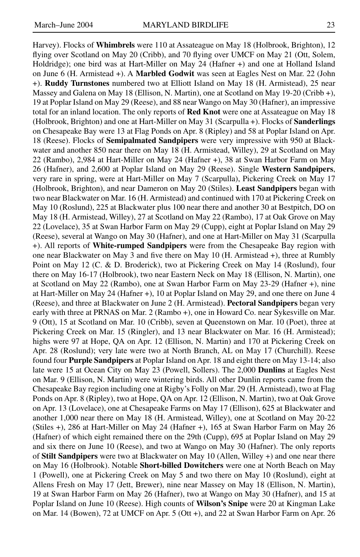Harvey). Flocks of **Whimbrels** were 110 at Assateague on May 18 (Holbrook, Brighton), 12 flying over Scotland on May 20 (Cribb), and 70 flying over UMCF on May 21 (Ott, Solem, Holdridge); one bird was at Hart-Miller on May 24 (Hafner +) and one at Holland Island on June 6 (H. Armistead +). A **Marbled Godwit** was seen at Eagles Nest on Mar. 22 (John +). **Ruddy Turnstones** numbered two at Elliott Island on May 18 (H. Armistead), 25 near Massey and Galena on May 18 (Ellison, N. Martin), one at Scotland on May 19-20 (Cribb +), 19 at Poplar Island on May 29 (Reese), and 88 near Wango on May 30 (Hafner), an impressive total for an inland location. The only reports of **Red Knot** were one at Assateague on May 18 (Holbrook, Brighton) and one at Hart-Miller on May 31 (Scarpulla +). Flocks of **Sanderlings** on Chesapeake Bay were 13 at Flag Ponds on Apr. 8 (Ripley) and 58 at Poplar Island on Apr. 18 (Reese). Flocks of **Semipalmated Sandpipers** were very impressive with 950 at Blackwater and another 850 near there on May 18 (H. Armistead, Willey), 29 at Scotland on May 22 (Rambo), 2,984 at Hart-Miller on May 24 (Hafner +), 38 at Swan Harbor Farm on May 26 (Hafner), and 2,600 at Poplar Island on May 29 (Reese). Single **Western Sandpipers**, very rare in spring, were at Hart-Miller on May 7 (Scarpulla), Pickering Creek on May 17 (Holbrook, Brighton), and near Dameron on May 20 (Stiles). **Least Sandpipers** began with two near Blackwater on Mar. 16 (H. Armistead) and continued with 170 at Pickering Creek on May 10 (Roslund), 225 at Blackwater plus 100 near there and another 30 at Bestpitch, DO on May 18 (H. Armistead, Willey), 27 at Scotland on May 22 (Rambo), 17 at Oak Grove on May 22 (Lovelace), 35 at Swan Harbor Farm on May 29 (Cupp), eight at Poplar Island on May 29 (Reese), several at Wango on May 30 (Hafner), and one at Hart-Miller on May 31 (Scarpulla +). All reports of **White-rumped Sandpipers** were from the Chesapeake Bay region with one near Blackwater on May 3 and five there on May 10 (H. Armistead +), three at Rumbly Point on May 12 (C. & D. Broderick), two at Pickering Creek on May 14 (Roslund), four there on May 16-17 (Holbrook), two near Eastern Neck on May 18 (Ellison, N. Martin), one at Scotland on May 22 (Rambo), one at Swan Harbor Farm on May 23-29 (Hafner +), nine at Hart-Miller on May 24 (Hafner +), 10 at Poplar Island on May 29, and one there on June 4 (Reese), and three at Blackwater on June 2 (H. Armistead). **Pectoral Sandpipers** began very early with three at PRNAS on Mar. 2 (Rambo +), one in Howard Co. near Sykesville on Mar. 9 (Ott), 15 at Scotland on Mar. 10 (Cribb), seven at Queenstown on Mar. 10 (Poet), three at Pickering Creek on Mar. 15 (Ringler), and 13 near Blackwater on Mar. 16 (H. Armistead); highs were 97 at Hope, QA on Apr. 12 (Ellison, N. Martin) and 170 at Pickering Creek on Apr. 28 (Roslund); very late were two at North Branch, AL on May 17 (Churchill). Reese found four **Purple Sandpipers** at Poplar Island on Apr. 18 and eight there on May 13-14; also late were 15 at Ocean City on May 23 (Powell, Sollers). The 2,000 **Dunlins** at Eagles Nest on Mar. 9 (Ellison, N. Martin) were wintering birds. All other Dunlin reports came from the Chesapeake Bay region including one at Rigby's Folly on Mar. 29 (H. Armistead), two at Flag Ponds on Apr. 8 (Ripley), two at Hope, QA on Apr. 12 (Ellison, N. Martin), two at Oak Grove on Apr. 13 (Lovelace), one at Chesapeake Farms on May 17 (Ellison), 625 at Blackwater and another 1,000 near there on May 18 (H. Armistead, Willey), one at Scotland on May 20-22 (Stiles +), 286 at Hart-Miller on May 24 (Hafner +), 165 at Swan Harbor Farm on May 26 (Hafner) of which eight remained there on the 29th (Cupp), 695 at Poplar Island on May 29 and six there on June 10 (Reese), and two at Wango on May 30 (Hafner). The only reports of **Stilt Sandpipers** were two at Blackwater on May 10 (Allen, Willey +) and one near there on May 16 (Holbrook). Notable **Short-billed Dowitchers** were one at North Beach on May 1 (Powell), one at Pickering Creek on May 5 and two there on May 10 (Roslund), eight at Allens Fresh on May 17 (Jett, Brewer), nine near Massey on May 18 (Ellison, N. Martin), 19 at Swan Harbor Farm on May 26 (Hafner), two at Wango on May 30 (Hafner), and 15 at Poplar Island on June 10 (Reese). High counts of **Wilson's Snipe** were 20 at Kingman Lake on Mar. 14 (Bowen), 72 at UMCF on Apr. 5 (Ott +), and 22 at Swan Harbor Farm on Apr. 26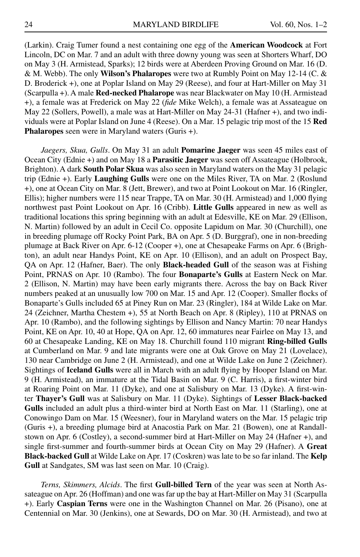(Larkin). Craig Tumer found a nest containing one egg of the **American Woodcock** at Fort Lincoln, DC on Mar. 7 and an adult with three downy young was seen at Shorters Wharf, DO on May 3 (H. Armistead, Sparks); 12 birds were at Aberdeen Proving Ground on Mar. 16 (D. & M. Webb). The only **Wilson's Phalaropes** were two at Rumbly Point on May 12-14 (C. & D. Broderick +), one at Poplar Island on May 29 (Reese), and four at Hart-Miller on May 31 (Scarpulla +). A male **Red-necked Phalarope** was near Blackwater on May 10 (H. Armistead +), a female was at Frederick on May 22 (*fide* Mike Welch), a female was at Assateague on May 22 (Sollers, Powell), a male was at Hart-Miller on May 24-31 (Hafner +), and two individuals were at Poplar Island on June 4 (Reese). On a Mar. 15 pelagic trip most of the 15 **Red Phalaropes** seen were in Maryland waters (Guris +).

*Jaegers, Skua, Gulls*. On May 31 an adult **Pomarine Jaeger** was seen 45 miles east of Ocean City (Ednie +) and on May 18 a **Parasitic Jaeger** was seen off Assateague (Holbrook, Brighton). A dark **South Polar Skua** was also seen in Maryland waters on the May 31 pelagic trip (Ednie +). Early **Laughing Gulls** were one on the Miles River, TA on Mar. 2 (Roslund +), one at Ocean City on Mar. 8 (Jett, Brewer), and two at Point Lookout on Mar. 16 (Ringler, Ellis); higher numbers were 115 near Trappe, TA on Mar. 30 (H. Armistead) and 1,000 flying northwest past Point Lookout on Apr. 16 (Cribb). **Little Gulls** appeared in new as well as traditional locations this spring beginning with an adult at Edesville, KE on Mar. 29 (Ellison, N. Martin) followed by an adult in Cecil Co. opposite Lapidum on Mar. 30 (Churchill), one in breeding plumage off Rocky Point Park, BA on Apr. 5 (D. Burggraf), one in non-breeding plumage at Back River on Apr. 6-12 (Cooper +), one at Chesapeake Farms on Apr. 6 (Brighton), an adult near Handys Point, KE on Apr. 10 (Ellison), and an adult on Prospect Bay, QA on Apr. 12 (Hafner, Baer). The only **Black-headed Gull** of the season was at Fishing Point, PRNAS on Apr. 10 (Rambo). The four **Bonaparte's Gulls** at Eastern Neck on Mar. 2 (Ellison, N. Martin) may have been early migrants there. Across the bay on Back River numbers peaked at an unusually low 700 on Mar. 15 and Apr. 12 (Cooper). Smaller flocks of Bonaparte's Gulls included 65 at Piney Run on Mar. 23 (Ringler), 184 at Wilde Lake on Mar. 24 (Zeichner, Martha Chestem +), 55 at North Beach on Apr. 8 (Ripley), 110 at PRNAS on Apr. 10 (Rambo), and the following sightings by Ellison and Nancy Martin: 70 near Handys Point, KE on Apr. 10, 40 at Hope, QA on Apr. 12, 60 immatures near Fairlee on May 13, and 60 at Chesapeake Landing, KE on May 18. Churchill found 110 migrant **Ring-billed Gulls** at Cumberland on Mar. 9 and late migrants were one at Oak Grove on May 21 (Lovelace), 130 near Cambridge on June 2 (H. Armistead), and one at Wilde Lake on June 2 (Zeichner). Sightings of **Iceland Gulls** were all in March with an adult flying by Hooper Island on Mar. 9 (H. Armistead), an immature at the Tidal Basin on Mar. 9 (C. Harris), a first-winter bird at Roaring Point on Mar. 11 (Dyke), and one at Salisbury on Mar. 13 (Dyke). A first-winter **Thayer's Gull** was at Salisbury on Mar. 11 (Dyke). Sightings of **Lesser Black-backed Gulls** included an adult plus a third-winter bird at North East on Mar. 11 (Starling), one at Conowingo Dam on Mar. 15 (Weesner), four in Maryland waters on the Mar. 15 pelagic trip (Guris +), a breeding plumage bird at Anacostia Park on Mar. 21 (Bowen), one at Randallstown on Apr. 6 (Costley), a second-summer bird at Hart-Miller on May 24 (Hafner +), and single first-summer and fourth-summer birds at Ocean City on May 29 (Hafner). A **Great Black-backed Gull** at Wilde Lake on Apr. 17 (Coskren) was late to be so far inland. The **Kelp Gull** at Sandgates, SM was last seen on Mar. 10 (Craig).

*Terns, Skimmers, Alcids*. The first **Gull-billed Tern** of the year was seen at North Assateague on Apr. 26 (Hoffman) and one was far up the bay at Hart-Miller on May 31 (Scarpulla +). Early **Caspian Terns** were one in the Washington Channel on Mar. 26 (Pisano), one at Centennial on Mar. 30 (Jenkins), one at Sewards, DO on Mar. 30 (H. Armistead), and two at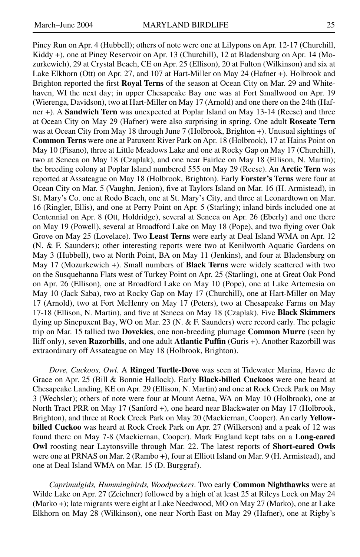Piney Run on Apr. 4 (Hubbell); others of note were one at Lilypons on Apr. 12-17 (Churchill, Kiddy +), one at Piney Reservoir on Apr. 13 (Churchill), 12 at Bladensburg on Apr. 14 (Mozurkewich), 29 at Crystal Beach, CE on Apr. 25 (Ellison), 20 at Fulton (Wilkinson) and six at Lake Elkhorn (Ott) on Apr. 27, and 107 at Hart-Miller on May 24 (Hafner +). Holbrook and Brighton reported the first **Royal Terns** of the season at Ocean City on Mar. 29 and Whitehaven, WI the next day; in upper Chesapeake Bay one was at Fort Smallwood on Apr. 19 (Wierenga, Davidson), two at Hart-Miller on May 17 (Arnold) and one there on the 24th (Hafner +). A **Sandwich Tern** was unexpected at Poplar Island on May 13-14 (Reese) and three at Ocean City on May 29 (Hafner) were also surprising in spring. One adult **Roseate Tern** was at Ocean City from May 18 through June 7 (Holbrook, Brighton +). Unusual sightings of **Common Terns** were one at Patuxent River Park on Apr. 18 (Holbrook), 17 at Hains Point on May 10 (Pisano), three at Little Meadows Lake and one at Rocky Gap on May 17 (Churchill), two at Seneca on May 18 (Czaplak), and one near Fairlee on May 18 (Ellison, N. Martin); the breeding colony at Poplar Island numbered 555 on May 29 (Reese). An **Arctic Tern** was reported at Assateague on May 18 (Holbrook, Brighton). Early **Forster's Terns** were four at Ocean City on Mar. 5 (Vaughn, Jenion), five at Taylors Island on Mar. 16 (H. Armistead), in St. Mary's Co. one at Rodo Beach, one at St. Mary's City, and three at Leonardtown on Mar. 16 (Ringler, Ellis), and one at Perry Point on Apr. 5 (Starling); inland birds included one at Centennial on Apr. 8 (Ott, Holdridge), several at Seneca on Apr. 26 (Eberly) and one there on May 19 (Powell), several at Broadford Lake on May 18 (Pope), and two flying over Oak Grove on May 25 (Lovelace). Two **Least Terns** were early at Deal Island WMA on Apr. 12 (N. & F. Saunders); other interesting reports were two at Kenilworth Aquatic Gardens on May 3 (Hubbell), two at North Point, BA on May 11 (Jenkins), and four at Bladensburg on May 17 (Mozurkewich +). Small numbers of **Black Terns** were widely scattered with two on the Susquehanna Flats west of Turkey Point on Apr. 25 (Starling), one at Great Oak Pond on Apr. 26 (Ellison), one at Broadford Lake on May 10 (Pope), one at Lake Artemesia on May 10 (Jack Saba), two at Rocky Gap on May 17 (Churchill), one at Hart-Miller on May 17 (Arnold), two at Fort McHenry on May 17 (Peters), two at Chesapeake Farms on May 17-18 (Ellison, N. Martin), and five at Seneca on May 18 (Czaplak). Five **Black Skimmers** flying up Sinepuxent Bay, WO on Mar. 23 (N. & F. Saunders) were record early. The pelagic trip on Mar. 15 tallied two **Dovekies**, one non-breeding plumage **Common Murre** (seen by Iliff only), seven **Razorbills**, and one adult **Atlantic Puffin** (Guris +). Another Razorbill was extraordinary off Assateague on May 18 (Holbrook, Brighton).

*Dove, Cuckoos, Owl.* A **Ringed Turtle-Dove** was seen at Tidewater Marina, Havre de Grace on Apr. 25 (Bill & Bonnie Hallock). Early **Black-billed Cuckoos** were one heard at Chesapeake Landing, KE on Apr. 29 (Ellison, N. Martin) and one at Rock Creek Park on May 3 (Wechsler); others of note were four at Mount Aetna, WA on May 10 (Holbrook), one at North Tract PRR on May 17 (Sanford +), one heard near Blackwater on May 17 (Holbrook, Brighton), and three at Rock Creek Park on May 20 (Mackiernan, Cooper). An early **Yellowbilled Cuckoo** was heard at Rock Creek Park on Apr. 27 (Wilkerson) and a peak of 12 was found there on May 7-8 (Mackiernan, Cooper). Mark England kept tabs on a **Long-eared Owl** roosting near Laytonsville through Mar. 22. The latest reports of **Short-eared Owls** were one at PRNAS on Mar. 2 (Rambo +), four at Elliott Island on Mar. 9 (H. Armistead), and one at Deal Island WMA on Mar. 15 (D. Burggraf).

*Caprimulgids, Hummingbirds, Woodpeckers*. Two early **Common Nighthawks** were at Wilde Lake on Apr. 27 (Zeichner) followed by a high of at least 25 at Rileys Lock on May 24 (Marko +); late migrants were eight at Lake Needwood, MO on May 27 (Marko), one at Lake Elkhorn on May 28 (Wilkinson), one near North East on May 29 (Hafner), one at Rigby's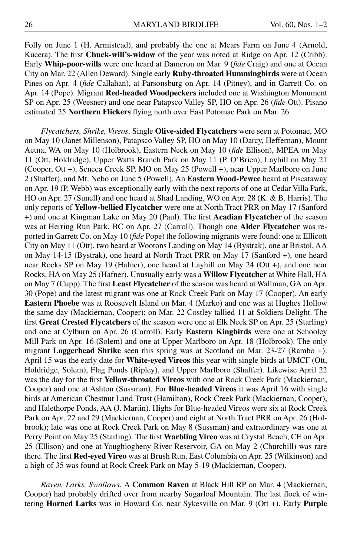Folly on June 1 (H. Armistead), and probably the one at Mears Farm on June 4 (Arnold, Kucera). The first **Chuck-will's-widow** of the year was noted at Ridge on Apr. 12 (Cribb). Early **Whip-poor-wills** were one heard at Dameron on Mar. 9 (*fide* Craig) and one at Ocean City on Mar. 22 (Allen Deward). Single early **Ruby-throated Hummingbirds** were at Ocean Pines on Apr. 4 (*fide* Callahan), at Parsonsburg on Apr. 14 (Pitney), and in Garrett Co. on Apr. 14 (Pope). Migrant **Red-headed Woodpeckers** included one at Washington Monument SP on Apr. 25 (Weesner) and one near Patapsco Valley SP, HO on Apr. 26 (*fide* Ott). Pisano estimated 25 **Northern Flickers** flying north over East Potomac Park on Mar. 26.

*Flycatchers, Shrike, Vireos*. Single **Olive-sided Flycatchers** were seen at Potomac, MO on May 10 (Janet Millenson), Patapsco Valley SP, HO on May 10 (Darcy, Heffernan), Mount Aetna, WA on May 10 (Holbrook), Eastern Neck on May 10 (*fide* Ellison), MPEA on May 11 (Ott, Holdridge), Upper Watts Branch Park on May 11 (P. O'Brien), Layhill on May 21 (Cooper, Ott +), Seneca Creek SP, MO on May 25 (Powell +), near Upper Marlboro on June 2 (Shaffer), and Mt. Nebo on June 5 (Powell). An **Eastern Wood-Pewee** heard at Piscataway on Apr. 19 (P. Webb) was exceptionally early with the next reports of one at Cedar Villa Park, HO on Apr. 27 (Sunell) and one heard at Shad Landing, WO on Apr. 28 (K. & B. Harris). The only reports of **Yellow-bellied Flycatcher** were one at North Tract PRR on May 17 (Sanford +) and one at Kingman Lake on May 20 (Paul). The first **Acadian Flycatcher** of the season was at Herring Run Park, BC on Apr. 27 (Carroll). Though one **Alder Flycatcher** was reported in Garrett Co. on May 10 (*fide* Pope) the following migrants were found: one at Ellicott City on May 11 (Ott), two heard at Wootons Landing on May 14 (Bystrak), one at Bristol, AA on May 14-15 (Bystrak), one heard at North Tract PRR on May 17 (Sanford +), one heard near Rocks SP on May 19 (Hafner), one heard at Layhill on May 24 (Ott +), and one near Rocks, HA on May 25 (Hafner). Unusually early was a **Willow Flycatcher** at White Hall, HA on May 7 (Cupp). The first **Least Flycatcher** of the season was heard at Wallman, GA on Apr. 30 (Pope) and the latest migrant was one at Rock Creek Park on May 17 (Cooper). An early **Eastern Phoebe** was at Roosevelt Island on Mar. 4 (Marko) and one was at Hughes Hollow the same day (Mackiernan, Cooper); on Mar. 22 Costley tallied 11 at Soldiers Delight. The first **Great Crested Flycatchers** of the season were one at Elk Neck SP on Apr. 25 (Starling) and one at Cylburn on Apr. 26 (Carroll). Early **Eastern Kingbirds** were one at Schooley Mill Park on Apr. 16 (Solem) and one at Upper Marlboro on Apr. 18 (Holbrook). The only migrant **Loggerhead Shrike** seen this spring was at Scotland on Mar. 23-27 (Rambo +). April 15 was the early date for **White-eyed Vireos** this year with single birds at UMCF (Ott, Holdridge, Solem), Flag Ponds (Ripley), and Upper Marlboro (Shaffer). Likewise April 22 was the day for the first **Yellow-throated Vireos** with one at Rock Creek Park (Mackiernan, Cooper) and one at Ashton (Sussman). For **Blue-headed Vireos** it was April 16 with single birds at American Chestnut Land Trust (Hamilton), Rock Creek Park (Mackiernan, Cooper), and Halethorpe Ponds, AA (J. Martin). Highs for Blue-headed Vireos were six at Rock Creek Park on Apr. 22 and 29 (Mackiernan, Cooper) and eight at North Tract PRR on Apr. 26 (Holbrook); late was one at Rock Creek Park on May 8 (Sussman) and extraordinary was one at Perry Point on May 25 (Starling). The first **Warbling Vireo** was at Crystal Beach, CE on Apr. 25 (Ellison) and one at Youghiogheny River Reservoir, GA on May 2 (Churchill) was rare there. The first **Red-eyed Vireo** was at Brush Run, East Columbia on Apr. 25 (Wilkinson) and a high of 35 was found at Rock Creek Park on May 5-19 (Mackiernan, Cooper).

*Raven, Larks, Swallows.* A **Common Raven** at Black Hill RP on Mar. 4 (Mackiernan, Cooper) had probably drifted over from nearby Sugarloaf Mountain. The last flock of wintering **Horned Larks** was in Howard Co. near Sykesville on Mar. 9 (Ott +). Early **Purple**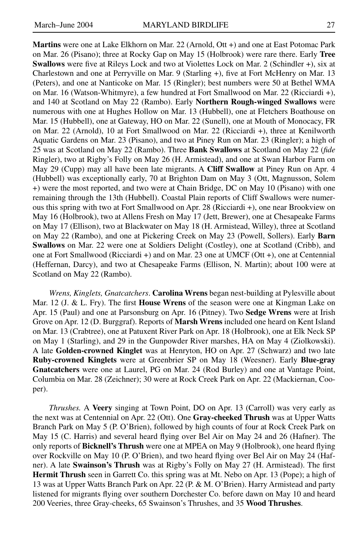**Martins** were one at Lake Elkhorn on Mar. 22 (Arnold, Ott +) and one at East Potomac Park on Mar. 26 (Pisano); three at Rocky Gap on May 15 (Holbrook) were rare there. Early **Tree Swallows** were five at Rileys Lock and two at Violettes Lock on Mar. 2 (Schindler +), six at Charlestown and one at Perryville on Mar. 9 (Starling +), five at Fort McHenry on Mar. 13 (Peters), and one at Nanticoke on Mar. 15 (Ringler); best numbers were 50 at Bethel WMA on Mar. 16 (Watson-Whitmyre), a few hundred at Fort Smallwood on Mar. 22 (Ricciardi +), and 140 at Scotland on May 22 (Rambo). Early **Northern Rough-winged Swallows** were numerous with one at Hughes Hollow on Mar. 13 (Hubbell), one at Fletchers Boathouse on Mar. 15 (Hubbell), one at Gateway, HO on Mar. 22 (Sunell), one at Mouth of Monocacy, FR on Mar. 22 (Arnold), 10 at Fort Smallwood on Mar. 22 (Ricciardi +), three at Kenilworth Aquatic Gardens on Mar. 23 (Pisano), and two at Piney Run on Mar. 23 (Ringler); a high of 25 was at Scotland on May 22 (Rambo). Three **Bank Swallows** at Scotland on May 22 (*fide* Ringler), two at Rigby's Folly on May 26 (H. Armistead), and one at Swan Harbor Farm on May 29 (Cupp) may all have been late migrants. A **Cliff Swallow** at Piney Run on Apr. 4 (Hubbell) was exceptionally early, 70 at Brighton Dam on May 3 (Ott, Magnusson, Solem +) were the most reported, and two were at Chain Bridge, DC on May 10 (Pisano) with one remaining through the 13th (Hubbell). Coastal Plain reports of Cliff Swallows were numerous this spring with two at Fort Smallwood on Apr. 28 (Ricciardi +), one near Brookview on May 16 (Holbrook), two at Allens Fresh on May 17 (Jett, Brewer), one at Chesapeake Farms on May 17 (Ellison), two at Blackwater on May 18 (H. Armistead, Willey), three at Scotland on May 22 (Rambo), and one at Pickering Creek on May 23 (Powell, Sollers). Early **Barn Swallows** on Mar. 22 were one at Soldiers Delight (Costley), one at Scotland (Cribb), and one at Fort Smallwood (Ricciardi +) and on Mar. 23 one at UMCF (Ott +), one at Centennial (Heffernan, Darcy), and two at Chesapeake Farms (Ellison, N. Martin); about 100 were at Scotland on May 22 (Rambo).

*Wrens, Kinglets, Gnatcatchers*. **Carolina Wrens** began nest-building at Pylesville about Mar. 12 (J. & L. Fry). The first **House Wrens** of the season were one at Kingman Lake on Apr. 15 (Paul) and one at Parsonsburg on Apr. 16 (Pitney). Two **Sedge Wrens** were at Irish Grove on Apr. 12 (D. Burggraf). Reports of **Marsh Wrens** included one heard on Kent Island on Mar. 13 (Crabtree), one at Patuxent River Park on Apr. 18 (Holbrook), one at Elk Neck SP on May 1 (Starling), and 29 in the Gunpowder River marshes, HA on May 4 (Ziolkowski). A late **Golden-crowned Kinglet** was at Henryton, HO on Apr. 27 (Schwarz) and two late **Ruby-crowned Kinglets** were at Greenbrier SP on May 18 (Weesner). Early **Blue-gray Gnatcatchers** were one at Laurel, PG on Mar. 24 (Rod Burley) and one at Vantage Point, Columbia on Mar. 28 (Zeichner); 30 were at Rock Creek Park on Apr. 22 (Mackiernan, Cooper).

*Thrushes.* A **Veery** singing at Town Point, DO on Apr. 13 (Carroll) was very early as the next was at Centennial on Apr. 22 (Ott). One **Gray-cheeked Thrush** was at Upper Watts Branch Park on May 5 (P. O'Brien), followed by high counts of four at Rock Creek Park on May 15 (C. Harris) and several heard flying over Bel Air on May 24 and 26 (Hafner). The only reports of **Bicknell's Thrush** were one at MPEA on May 9 (Holbrook), one heard flying over Rockville on May 10 (P. O'Brien), and two heard flying over Bel Air on May 24 (Hafner). A late **Swainson's Thrush** was at Rigby's Folly on May 27 (H. Armistead). The first **Hermit Thrush** seen in Garrett Co. this spring was at Mt. Nebo on Apr. 13 (Pope); a high of 13 was at Upper Watts Branch Park on Apr. 22 (P. & M. O'Brien). Harry Armistead and party listened for migrants flying over southern Dorchester Co. before dawn on May 10 and heard 200 Veeries, three Gray-cheeks, 65 Swainson's Thrushes, and 35 **Wood Thrushes**.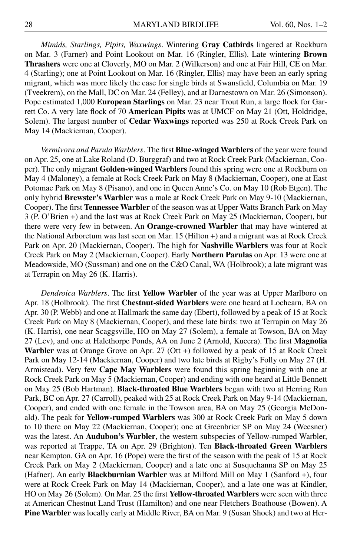*Mimids, Starlings, Pipits, Waxwings*. Wintering **Gray Catbirds** lingered at Rockburn on Mar. 3 (Farner) and Point Lookout on Mar. 16 (Ringler, Ellis). Late wintering **Brown Thrashers** were one at Cloverly, MO on Mar. 2 (Wilkerson) and one at Fair Hill, CE on Mar. 4 (Starling); one at Point Lookout on Mar. 16 (Ringler, Ellis) may have been an early spring migrant, which was more likely the case for single birds at Swansfield, Columbia on Mar. 19 (Tveekrem), on the Mall, DC on Mar. 24 (Felley), and at Darnestown on Mar. 26 (Simonson). Pope estimated 1,000 **European Starlings** on Mar. 23 near Trout Run, a large flock for Garrett Co. A very late flock of 70 **American Pipits** was at UMCF on May 21 (Ott, Holdridge, Solem). The largest number of **Cedar Waxwings** reported was 250 at Rock Creek Park on May 14 (Mackiernan, Cooper).

*Vermivora and Parula Warblers*. The first **Blue-winged Warblers** of the year were found on Apr. 25, one at Lake Roland (D. Burggraf) and two at Rock Creek Park (Mackiernan, Cooper). The only migrant **Golden-winged Warblers** found this spring were one at Rockburn on May 4 (Maloney), a female at Rock Creek Park on May 8 (Mackiernan, Cooper), one at East Potomac Park on May 8 (Pisano), and one in Queen Anne's Co. on May 10 (Rob Etgen). The only hybrid **Brewster's Warbler** was a male at Rock Creek Park on May 9-10 (Mackiernan, Cooper). The first **Tennessee Warbler** of the season was at Upper Watts Branch Park on May 3 (P. O'Brien +) and the last was at Rock Creek Park on May 25 (Mackiernan, Cooper), but there were very few in between. An **Orange-crowned Warbler** that may have wintered at the National Arboretum was last seen on Mar. 15 (Hilton +) and a migrant was at Rock Creek Park on Apr. 20 (Mackiernan, Cooper). The high for **Nashville Warblers** was four at Rock Creek Park on May 2 (Mackiernan, Cooper). Early **Northern Parulas** on Apr. 13 were one at Meadowside, MO (Sussman) and one on the C&O Canal, WA (Holbrook); a late migrant was at Terrapin on May 26 (K. Harris).

*Dendroica Warblers*. The first **Yellow Warbler** of the year was at Upper Marlboro on Apr. 18 (Holbrook). The first **Chestnut-sided Warblers** were one heard at Lochearn, BA on Apr. 30 (P. Webb) and one at Hallmark the same day (Ebert), followed by a peak of 15 at Rock Creek Park on May 8 (Mackiernan, Cooper), and these late birds: two at Terrapin on May 26 (K. Harris), one near Scaggsville, HO on May 27 (Solem), a female at Towson, BA on May 27 (Lev), and one at Halethorpe Ponds, AA on June 2 (Arnold, Kucera). The first **Magnolia**  Warbler was at Orange Grove on Apr. 27 (Ott +) followed by a peak of 15 at Rock Creek Park on May 12-14 (Mackiernan, Cooper) and two late birds at Rigby's Folly on May 27 (H. Armistead). Very few **Cape May Warblers** were found this spring beginning with one at Rock Creek Park on May 5 (Mackiernan, Cooper) and ending with one heard at Little Bennett on May 25 (Bob Hartman). **Black-throated Blue Warblers** began with two at Herring Run Park, BC on Apr. 27 (Carroll), peaked with 25 at Rock Creek Park on May 9-14 (Mackiernan, Cooper), and ended with one female in the Towson area, BA on May 25 (Georgia McDonald). The peak for **Yellow-rumped Warblers** was 300 at Rock Creek Park on May 5 down to 10 there on May 22 (Mackiernan, Cooper); one at Greenbrier SP on May 24 (Weesner) was the latest. An **Audubon's Warbler**, the western subspecies of Yellow-rumped Warbler, was reported at Trappe, TA on Apr. 29 (Brighton). Ten **Black-throated Green Warblers** near Kempton, GA on Apr. 16 (Pope) were the first of the season with the peak of 15 at Rock Creek Park on May 2 (Mackiernan, Cooper) and a late one at Susquehanna SP on May 25 (Hafner). An early **Blackburnian Warbler** was at Milford Mill on May 1 (Sanford +), four were at Rock Creek Park on May 14 (Mackiernan, Cooper), and a late one was at Kindler, HO on May 26 (Solem). On Mar. 25 the first **Yellow-throated Warblers** were seen with three at American Chestnut Land Trust (Hamilton) and one near Fletchers Boathouse (Bowen). A **Pine Warbler** was locally early at Middle River, BA on Mar. 9 (Susan Shock) and two at Her-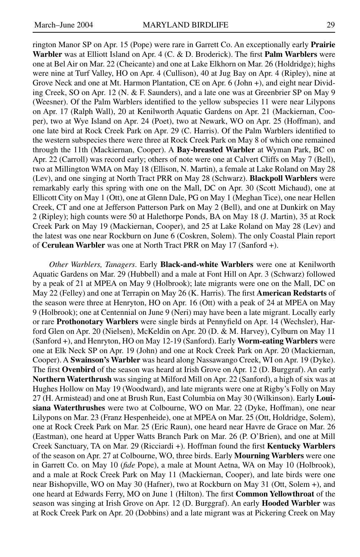rington Manor SP on Apr. 15 (Pope) were rare in Garrett Co. An exceptionally early **Prairie Warbler** was at Elliott Island on Apr. 4 (C. & D. Broderick). The first **Palm Warblers** were one at Bel Air on Mar. 22 (Cheicante) and one at Lake Elkhorn on Mar. 26 (Holdridge); highs were nine at Turf Valley, HO on Apr. 4 (Cullison), 40 at Jug Bay on Apr. 4 (Ripley), nine at Grove Neck and one at Mt. Harmon Plantation, CE on Apr. 6 (John +), and eight near Dividing Creek, SO on Apr. 12 (N. & F. Saunders), and a late one was at Greenbrier SP on May 9 (Weesner). Of the Palm Warblers identified to the yellow subspecies 11 were near Lilypons on Apr. 17 (Ralph Wall), 20 at Kenilworth Aquatic Gardens on Apr. 21 (Mackiernan, Cooper), two at Wye Island on Apr. 24 (Poet), two at Newark, WO on Apr. 25 (Hoffman), and one late bird at Rock Creek Park on Apr. 29 (C. Harris). Of the Palm Warblers identified to the western subspecies there were three at Rock Creek Park on May 8 of which one remained through the 11th (Mackiernan, Cooper). A **Bay-breasted Warbler** at Wyman Park, BC on Apr. 22 (Carroll) was record early; others of note were one at Calvert Cliffs on May 7 (Bell), two at Millington WMA on May 18 (Ellison, N. Martin), a female at Lake Roland on May 28 (Lev), and one singing at North Tract PRR on May 28 (Schwarz). **Blackpoll Warblers** were remarkably early this spring with one on the Mall, DC on Apr. 30 (Scott Michaud), one at Ellicott City on May 1 (Ott), one at Glenn Dale, PG on May 1 (Meghan Tice), one near Hellen Creek, CT and one at Jefferson Patterson Park on May 2 (Bell), and one at Dunkirk on May 2 (Ripley); high counts were 50 at Halethorpe Ponds, BA on May 18 (J. Martin), 35 at Rock Creek Park on May 19 (Mackiernan, Cooper), and 25 at Lake Roland on May 28 (Lev) and the latest was one near Rockburn on June 6 (Coskren, Solem). The only Coastal Plain report of **Cerulean Warbler** was one at North Tract PRR on May 17 (Sanford +).

*Other Warblers, Tanagers*. Early **Black-and-white Warblers** were one at Kenilworth Aquatic Gardens on Mar. 29 (Hubbell) and a male at Font Hill on Apr. 3 (Schwarz) followed by a peak of 21 at MPEA on May 9 (Holbrook); late migrants were one on the Mall, DC on May 22 (Felley) and one at Terrapin on May 26 (K. Harris). The first **American Redstarts** of the season were three at Henryton, HO on Apr. 16 (Ott) with a peak of 24 at MPEA on May 9 (Holbrook); one at Centennial on June 9 (Neri) may have been a late migrant. Locally early or rare **Prothonotary Warblers** were single birds at Pennyfield on Apr. 14 (Wechsler), Harford Glen on Apr. 20 (Nielsen), McKeldin on Apr. 20 (D. & M. Harvey), Cylburn on May 11 (Sanford +), and Henryton, HO on May 12-19 (Sanford). Early **Worm-eating Warblers** were one at Elk Neck SP on Apr. 19 (John) and one at Rock Creek Park on Apr. 20 (Mackiernan, Cooper). A **Swainson's Warbler** was heard along Nassawango Creek, WI on Apr. 19 (Dyke). The first **Ovenbird** of the season was heard at Irish Grove on Apr. 12 (D. Burggraf). An early **Northern Waterthrush** was singing at Milford Mill on Apr. 22 (Sanford), a high of six was at Hughes Hollow on May 19 (Woodward), and late migrants were one at Rigby's Folly on May 27 (H. Armistead) and one at Brush Run, East Columbia on May 30 (Wilkinson). Early **Louisiana Waterthrushes** were two at Colbourne, WO on Mar. 22 (Dyke, Hoffman), one near Lilypons on Mar. 23 (Franz Hespenheide), one at MPEA on Mar. 25 (Ott, Holdridge, Solem), one at Rock Creek Park on Mar. 25 (Eric Raun), one heard near Havre de Grace on Mar. 26 (Eastman), one heard at Upper Watts Branch Park on Mar. 26 (P. O'Brien), and one at Mill Creek Sanctuary, TA on Mar. 29 (Ricciardi +). Hoffman found the first **Kentucky Warblers** of the season on Apr. 27 at Colbourne, WO, three birds. Early **Mourning Warblers** were one in Garrett Co. on May 10 (*fide* Pope), a male at Mount Aetna, WA on May 10 (Holbrook), and a male at Rock Creek Park on May 11 (Mackiernan, Cooper), and late birds were one near Bishopville, WO on May 30 (Hafner), two at Rockburn on May 31 (Ott, Solem +), and one heard at Edwards Ferry, MO on June 1 (Hilton). The first **Common Yellowthroat** of the season was singing at Irish Grove on Apr. 12 (D. Burggraf). An early **Hooded Warbler** was at Rock Creek Park on Apr. 20 (Dobbins) and a late migrant was at Pickering Creek on May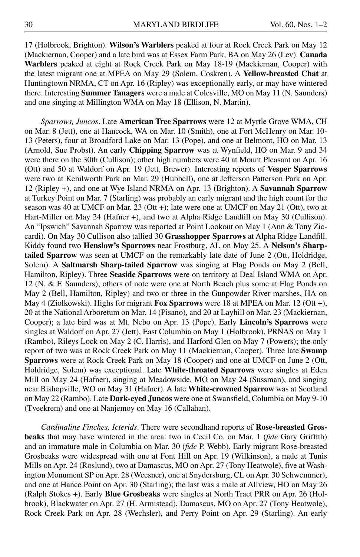17 (Holbrook, Brighton). **Wilson's Warblers** peaked at four at Rock Creek Park on May 12 (Mackiernan, Cooper) and a late bird was at Essex Farm Park, BA on May 26 (Lev). **Canada Warblers** peaked at eight at Rock Creek Park on May 18-19 (Mackiernan, Cooper) with the latest migrant one at MPEA on May 29 (Solem, Coskren). A **Yellow-breasted Chat** at Huntingtown NRMA, CT on Apr. 16 (Ripley) was exceptionally early, or may have wintered there. Interesting **Summer Tanagers** were a male at Colesville, MO on May 11 (N. Saunders) and one singing at Millington WMA on May 18 (Ellison, N. Martin).

*Sparrows, Juncos*. Late **American Tree Sparrows** were 12 at Myrtle Grove WMA, CH on Mar. 8 (Jett), one at Hancock, WA on Mar. 10 (Smith), one at Fort McHenry on Mar. 10- 13 (Peters), four at Broadford Lake on Mar. 13 (Pope), and one at Belmont, HO on Mar. 13 (Arnold, Sue Probst). An early **Chipping Sparrow** was at Wynfield, HO on Mar. 9 and 34 were there on the 30th (Cullison); other high numbers were 40 at Mount Pleasant on Apr. 16 (Ott) and 50 at Waldorf on Apr. 19 (Jett, Brewer). Interesting reports of **Vesper Sparrows** were two at Kenilworth Park on Mar. 29 (Hubbell), one at Jefferson Patterson Park on Apr. 12 (Ripley +), and one at Wye Island NRMA on Apr. 13 (Brighton). A **Savannah Sparrow** at Turkey Point on Mar. 7 (Starling) was probably an early migrant and the high count for the season was 40 at UMCF on Mar. 23 (Ott +); late were one at UMCF on May 21 (Ott), two at Hart-Miller on May 24 (Hafner +), and two at Alpha Ridge Landfill on May 30 (Cullison). An "Ipswich" Savannah Sparrow was reported at Point Lookout on May 1 (Ann & Tony Ziccardi). On May 30 Cullison also tallied 30 **Grasshopper Sparrows** at Alpha Ridge Landfill. Kiddy found two **Henslow's Sparrows** near Frostburg, AL on May 25. A **Nelson's Sharptailed Sparrow** was seen at UMCF on the remarkably late date of June 2 (Ott, Holdridge, Solem). A **Saltmarsh Sharp-tailed Sparrow** was singing at Flag Ponds on May 2 (Bell, Hamilton, Ripley). Three **Seaside Sparrows** were on territory at Deal Island WMA on Apr. 12 (N. & F. Saunders); others of note were one at North Beach plus some at Flag Ponds on May 2 (Bell, Hamilton, Ripley) and two or three in the Gunpowder River marshes, HA on May 4 (Ziolkowski). Highs for migrant **Fox Sparrows** were 18 at MPEA on Mar. 12 (Ott +), 20 at the National Arboretum on Mar. 14 (Pisano), and 20 at Layhill on Mar. 23 (Mackiernan, Cooper); a late bird was at Mt. Nebo on Apr. 13 (Pope). Early **Lincoln's Sparrows** were singles at Waldorf on Apr. 27 (Jett), East Columbia on May 1 (Holbrook), PRNAS on May 1 (Rambo), Rileys Lock on May 2 (C. Harris), and Harford Glen on May 7 (Powers); the only report of two was at Rock Creek Park on May 11 (Mackiernan, Cooper). Three late **Swamp Sparrows** were at Rock Creek Park on May 18 (Cooper) and one at UMCF on June 2 (Ott, Holdridge, Solem) was exceptional. Late **White-throated Sparrows** were singles at Eden Mill on May 24 (Hafner), singing at Meadowside, MO on May 24 (Sussman), and singing near Bishopville, WO on May 31 (Hafner). A late **White-crowned Sparrow** was at Scotland on May 22 (Rambo). Late **Dark-eyed Juncos** were one at Swansfield, Columbia on May 9-10 (Tveekrem) and one at Nanjemoy on May 16 (Callahan).

*Cardinaline Finches, Icterids*. There were secondhand reports of **Rose-breasted Grosbeaks** that may have wintered in the area: two in Cecil Co. on Mar. 1 (*fide* Gary Griffith) and an immature male in Columbia on Mar. 30 (*fide* P. Webb). Early migrant Rose-breasted Grosbeaks were widespread with one at Font Hill on Apr. 19 (Wilkinson), a male at Tunis Mills on Apr. 24 (Roslund), two at Damascus, MO on Apr. 27 (Tony Heatwole), five at Washington Monument SP on Apr. 28 (Weesner), one at Snydersburg, CL on Apr. 30 Schwemmer), and one at Hance Point on Apr. 30 (Starling); the last was a male at Allview, HO on May 26 (Ralph Stokes +). Early **Blue Grosbeaks** were singles at North Tract PRR on Apr. 26 (Holbrook), Blackwater on Apr. 27 (H. Armistead), Damascus, MO on Apr. 27 (Tony Heatwole), Rock Creek Park on Apr. 28 (Wechsler), and Perry Point on Apr. 29 (Starling). An early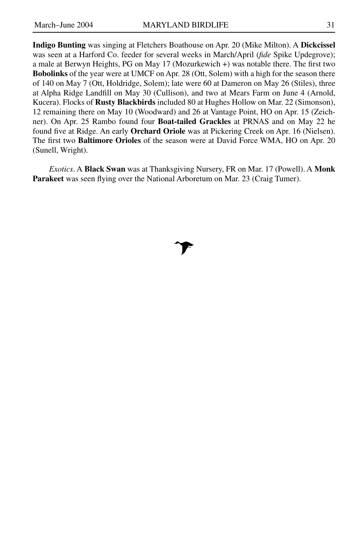**Indigo Bunting** was singing at Fletchers Boathouse on Apr. 20 (Mike Milton). A **Dickcissel** was seen at a Harford Co. feeder for several weeks in March/April (*fide* Spike Updegrove); a male at Berwyn Heights, PG on May 17 (Mozurkewich +) was notable there. The first two **Bobolinks** of the year were at UMCF on Apr. 28 (Ott, Solem) with a high for the season there of 140 on May 7 (Ott, Holdridge, Solem); late were 60 at Dameron on May 26 (Stiles), three at Alpha Ridge Landfill on May 30 (Cullison), and two at Mears Farm on June 4 (Arnold, Kucera). Flocks of **Rusty Blackbirds** included 80 at Hughes Hollow on Mar. 22 (Simonson), 12 remaining there on May 10 (Woodward) and 26 at Vantage Point, HO on Apr. 15 (Zeichner). On Apr. 25 Rambo found four **Boat-tailed Grackles** at PRNAS and on May 22 he found five at Ridge. An early **Orchard Oriole** was at Pickering Creek on Apr. 16 (Nielsen). The first two **Baltimore Orioles** of the season were at David Force WMA, HO on Apr. 20 (Sunell, Wright).

*Exotics*. A **Black Swan** was at Thanksgiving Nursery, FR on Mar. 17 (Powell). A **Monk Parakeet** was seen flying over the National Arboretum on Mar. 23 (Craig Tumer).

# $\mathcal{F}$